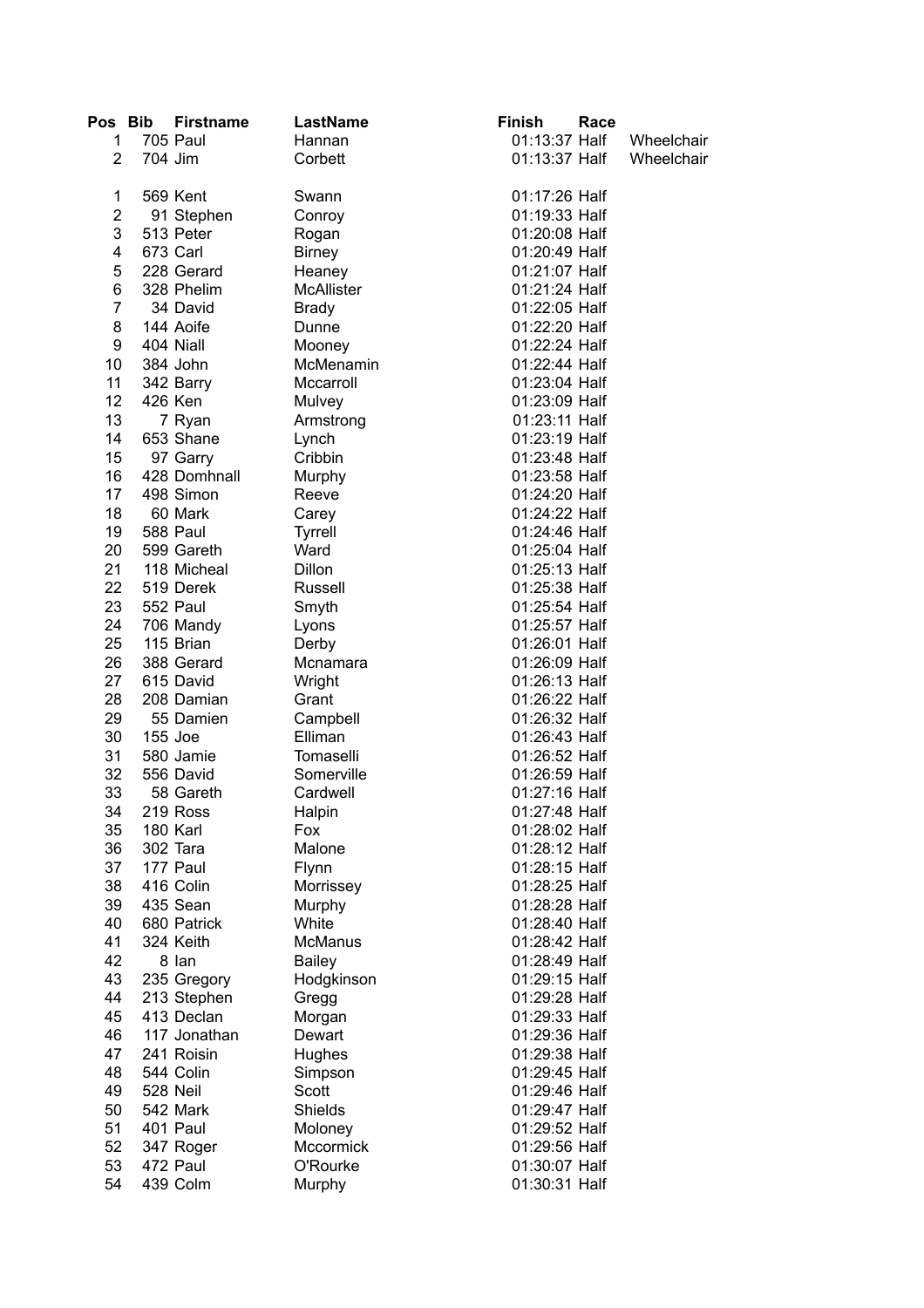| Pos Bib        | <b>Firstname</b> | LastName       | <b>Finish</b> | Race |            |
|----------------|------------------|----------------|---------------|------|------------|
| 1              | <b>705 Paul</b>  | Hannan         | 01:13:37 Half |      | Wheelchair |
| 2              | 704 Jim          | Corbett        | 01:13:37 Half |      | Wheelchair |
|                |                  |                |               |      |            |
| 1              | 569 Kent         | Swann          | 01:17:26 Half |      |            |
| $\overline{2}$ | 91 Stephen       | Conroy         | 01:19:33 Half |      |            |
| 3              | 513 Peter        | Rogan          | 01:20:08 Half |      |            |
| 4              | 673 Carl         | <b>Birney</b>  | 01:20:49 Half |      |            |
| 5              | 228 Gerard       | Heaney         | 01:21:07 Half |      |            |
| 6              | 328 Phelim       | McAllister     | 01:21:24 Half |      |            |
| 7              | 34 David         | <b>Brady</b>   | 01:22:05 Half |      |            |
| 8              | 144 Aoife        | Dunne          | 01:22:20 Half |      |            |
| 9              | 404 Niall        | Mooney         | 01:22:24 Half |      |            |
| 10             | 384 John         | McMenamin      | 01:22:44 Half |      |            |
| 11             | 342 Barry        | Mccarroll      | 01:23:04 Half |      |            |
| 12             | 426 Ken          | Mulvey         | 01:23:09 Half |      |            |
| 13             | 7 Ryan           | Armstrong      | 01:23:11 Half |      |            |
| 14             | 653 Shane        | Lynch          | 01:23:19 Half |      |            |
| 15             | 97 Garry         | Cribbin        | 01:23:48 Half |      |            |
| 16             | 428 Domhnall     | Murphy         | 01:23:58 Half |      |            |
| 17             | 498 Simon        | Reeve          | 01:24:20 Half |      |            |
| 18             | 60 Mark          | Carey          | 01:24:22 Half |      |            |
| 19             | 588 Paul         | <b>Tyrrell</b> | 01:24:46 Half |      |            |
| 20             | 599 Gareth       | Ward           | 01:25:04 Half |      |            |
|                |                  |                |               |      |            |
| 21             | 118 Micheal      | <b>Dillon</b>  | 01:25:13 Half |      |            |
| 22             | 519 Derek        | Russell        | 01:25:38 Half |      |            |
| 23             | 552 Paul         | Smyth          | 01:25:54 Half |      |            |
| 24             | 706 Mandy        | Lyons          | 01:25:57 Half |      |            |
| 25             | 115 Brian        | Derby          | 01:26:01 Half |      |            |
| 26             | 388 Gerard       | Mcnamara       | 01:26:09 Half |      |            |
| 27             | 615 David        | Wright         | 01:26:13 Half |      |            |
| 28             | 208 Damian       | Grant          | 01:26:22 Half |      |            |
| 29             | 55 Damien        | Campbell       | 01:26:32 Half |      |            |
| 30             | 155 Joe          | Elliman        | 01:26:43 Half |      |            |
| 31             | 580 Jamie        | Tomaselli      | 01:26:52 Half |      |            |
| 32             | 556 David        | Somerville     | 01:26:59 Half |      |            |
| 33             | 58 Gareth        | Cardwell       | 01:27:16 Half |      |            |
| 34             | 219 Ross         | Halpin         | 01:27:48 Half |      |            |
| 35             | 180 Karl         | Fox            | 01:28:02 Half |      |            |
| 36             | 302 Tara         | Malone         | 01:28:12 Half |      |            |
| 37             | 177 Paul         | Flynn          | 01:28:15 Half |      |            |
| 38             | 416 Colin        | Morrissey      | 01:28:25 Half |      |            |
| 39             | 435 Sean         | Murphy         | 01:28:28 Half |      |            |
| 40             | 680 Patrick      | White          | 01:28:40 Half |      |            |
| 41             | 324 Keith        | McManus        | 01:28:42 Half |      |            |
| 42             | 8 lan            | <b>Bailey</b>  | 01:28:49 Half |      |            |
| 43             | 235 Gregory      | Hodgkinson     | 01:29:15 Half |      |            |
| 44             | 213 Stephen      | Gregg          | 01:29:28 Half |      |            |
| 45             | 413 Declan       | Morgan         | 01:29:33 Half |      |            |
| 46             | 117 Jonathan     | Dewart         | 01:29:36 Half |      |            |
| 47             | 241 Roisin       | Hughes         | 01:29:38 Half |      |            |
| 48             | 544 Colin        | Simpson        | 01:29:45 Half |      |            |
| 49             | 528 Neil         | Scott          | 01:29:46 Half |      |            |
| 50             | 542 Mark         | <b>Shields</b> | 01:29:47 Half |      |            |
| 51             | 401 Paul         | Moloney        | 01:29:52 Half |      |            |
| 52             | 347 Roger        | Mccormick      | 01:29:56 Half |      |            |
| 53             | 472 Paul         |                |               |      |            |
|                |                  | O'Rourke       | 01:30:07 Half |      |            |
| 54             | 439 Colm         | Murphy         | 01:30:31 Half |      |            |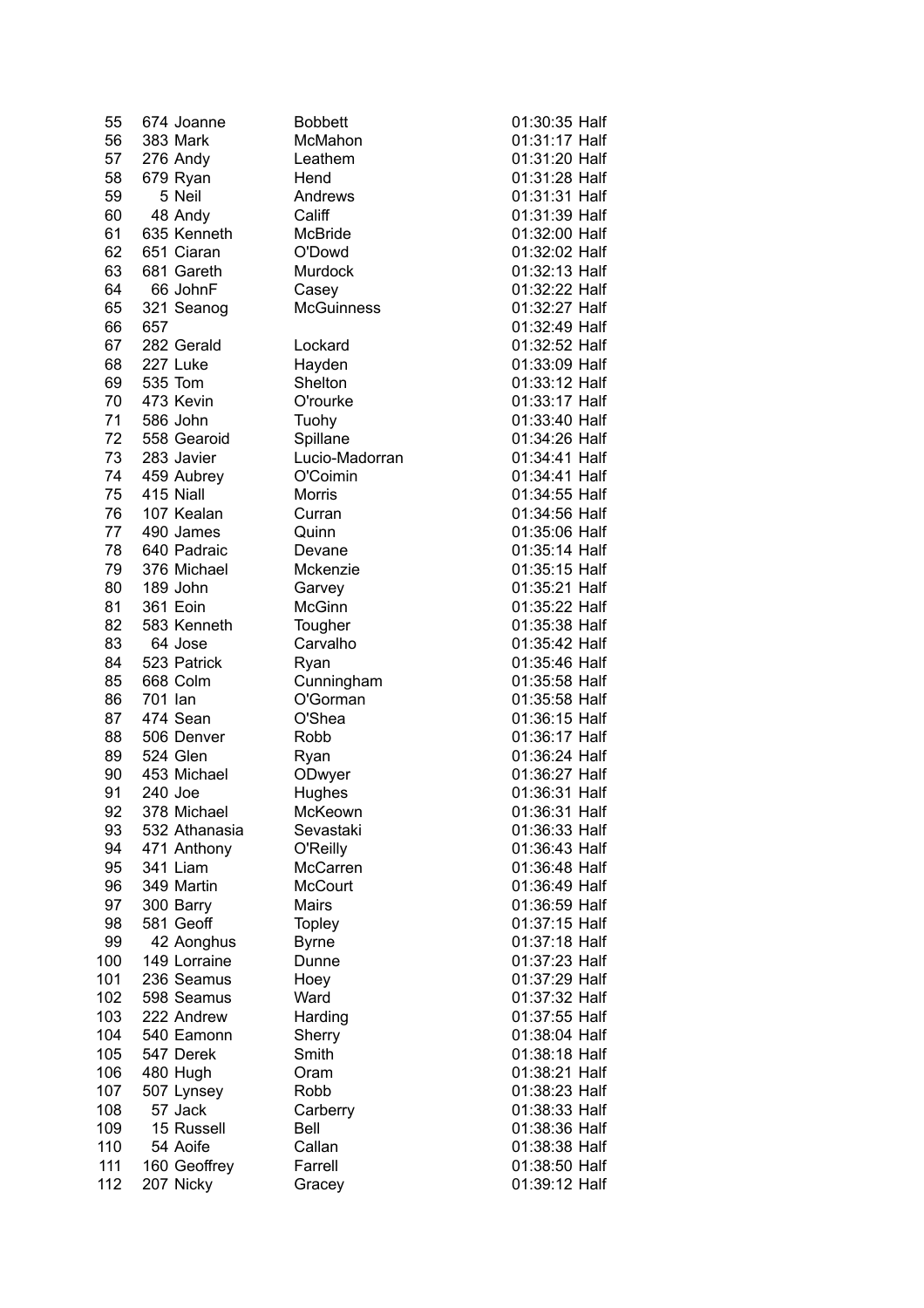| 55  | 674 Joanne    | <b>Bobbett</b>    | 01:30:35 Half |
|-----|---------------|-------------------|---------------|
| 56  | 383 Mark      | McMahon           | 01:31:17 Half |
| 57  | 276 Andy      | Leathem           | 01:31:20 Half |
| 58  | 679 Ryan      | Hend              | 01:31:28 Half |
| 59  | 5 Neil        | Andrews           | 01:31:31 Half |
| 60  | 48 Andy       | Califf            | 01:31:39 Half |
| 61  | 635 Kenneth   | McBride           | 01:32:00 Half |
| 62  | 651 Ciaran    | O'Dowd            | 01:32:02 Half |
| 63  | 681 Gareth    | Murdock           | 01:32:13 Half |
| 64  | 66 JohnF      | Casey             | 01:32:22 Half |
| 65  | 321 Seanog    | <b>McGuinness</b> | 01:32:27 Half |
| 66  | 657           |                   | 01:32:49 Half |
| 67  | 282 Gerald    | Lockard           | 01:32:52 Half |
| 68  | 227 Luke      | Hayden            | 01:33:09 Half |
| 69  | 535 Tom       | Shelton           | 01:33:12 Half |
| 70  | 473 Kevin     | O'rourke          | 01:33:17 Half |
| 71  | 586 John      | Tuohy             | 01:33:40 Half |
| 72  | 558 Gearoid   | Spillane          | 01:34:26 Half |
| 73  | 283 Javier    | Lucio-Madorran    | 01:34:41 Half |
| 74  | 459 Aubrey    | O'Coimin          | 01:34:41 Half |
| 75  | 415 Niall     | <b>Morris</b>     | 01:34:55 Half |
| 76  | 107 Kealan    | Curran            | 01:34:56 Half |
| 77  | 490 James     | Quinn             | 01:35:06 Half |
| 78  | 640 Padraic   | Devane            | 01:35:14 Half |
| 79  | 376 Michael   | Mckenzie          | 01:35:15 Half |
| 80  | 189 John      | Garvey            | 01:35:21 Half |
| 81  | 361 Eoin      | McGinn            | 01:35:22 Half |
| 82  | 583 Kenneth   | Tougher           | 01:35:38 Half |
| 83  | 64 Jose       | Carvalho          | 01:35:42 Half |
| 84  | 523 Patrick   | Ryan              | 01:35:46 Half |
| 85  | 668 Colm      | Cunningham        | 01:35:58 Half |
| 86  | 701 Ian       | O'Gorman          | 01:35:58 Half |
| 87  | 474 Sean      | O'Shea            | 01:36:15 Half |
| 88  | 506 Denver    | Robb              | 01:36:17 Half |
| 89  | 524 Glen      | Ryan              | 01:36:24 Half |
| 90  | 453 Michael   | ODwyer            | 01:36:27 Half |
| 91  | 240 Joe       | Hughes            | 01:36:31 Half |
| 92  | 378 Michael   | McKeown           | 01:36:31 Half |
| 93  | 532 Athanasia | Sevastaki         | 01:36:33 Half |
| 94  | 471 Anthony   | O'Reilly          | 01:36:43 Half |
| 95  | 341 Liam      | McCarren          | 01:36:48 Half |
| 96  | 349 Martin    | McCourt           | 01:36:49 Half |
| 97  | 300 Barry     | Mairs             | 01:36:59 Half |
| 98  | 581 Geoff     | <b>Topley</b>     | 01:37:15 Half |
| 99  | 42 Aonghus    | <b>Byrne</b>      | 01:37:18 Half |
| 100 | 149 Lorraine  | Dunne             | 01:37:23 Half |
| 101 | 236 Seamus    | Hoey              | 01:37:29 Half |
| 102 | 598 Seamus    | Ward              | 01:37:32 Half |
| 103 | 222 Andrew    | Harding           | 01:37:55 Half |
| 104 | 540 Eamonn    | Sherry            | 01:38:04 Half |
| 105 | 547 Derek     | Smith             | 01:38:18 Half |
| 106 | 480 Hugh      | Oram              | 01:38:21 Half |
| 107 | 507 Lynsey    | Robb              | 01:38:23 Half |
| 108 | 57 Jack       | Carberry          | 01:38:33 Half |
| 109 | 15 Russell    | Bell              | 01:38:36 Half |
| 110 | 54 Aoife      | Callan            | 01:38:38 Half |
| 111 | 160 Geoffrey  | Farrell           | 01:38:50 Half |
| 112 | 207 Nicky     | Gracey            | 01:39:12 Half |
|     |               |                   |               |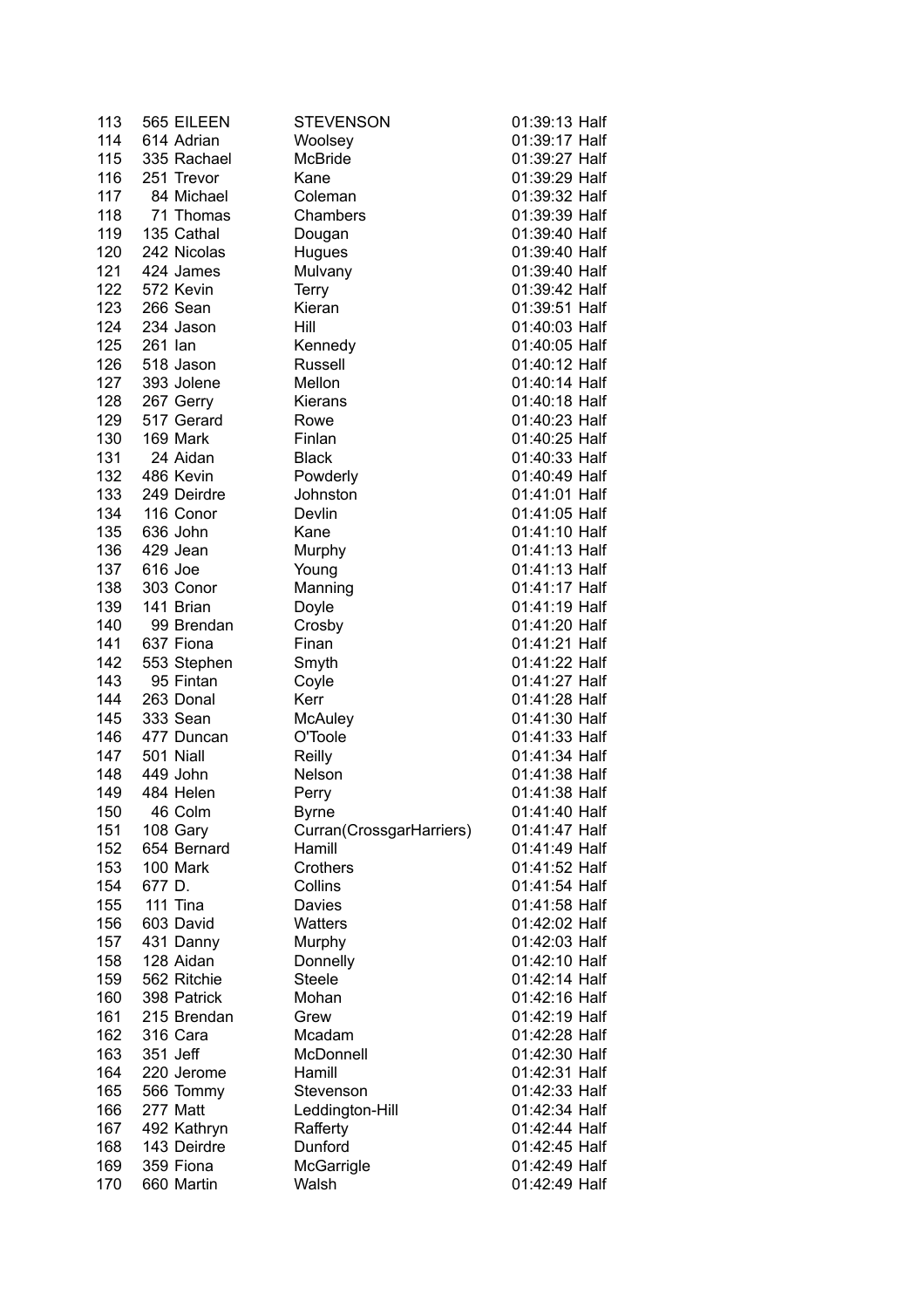| 113 | 565 EILEEN  | <b>STEVENSON</b>         | 01:39:13 Half                  |
|-----|-------------|--------------------------|--------------------------------|
| 114 | 614 Adrian  | Woolsey                  | 01:39:17 Half                  |
| 115 | 335 Rachael | McBride                  | 01:39:27 Half                  |
| 116 | 251 Trevor  | Kane                     | 01:39:29 Half                  |
| 117 | 84 Michael  | Coleman                  | 01:39:32 Half                  |
| 118 | 71 Thomas   | Chambers                 | 01:39:39 Half                  |
| 119 | 135 Cathal  | Dougan                   | 01:39:40 Half                  |
| 120 | 242 Nicolas | Hugues                   | 01:39:40 Half                  |
| 121 | 424 James   | Mulvany                  | 01:39:40 Half                  |
| 122 | 572 Kevin   | <b>Terry</b>             | 01:39:42 Half                  |
| 123 | 266 Sean    | Kieran                   | 01:39:51 Half                  |
| 124 | 234 Jason   | Hill                     | 01:40:03 Half                  |
| 125 | 261 Ian     | Kennedy                  | 01:40:05 Half                  |
| 126 | 518 Jason   | Russell                  | 01:40:12 Half                  |
| 127 | 393 Jolene  | Mellon                   | 01:40:14 Half                  |
| 128 | 267 Gerry   | <b>Kierans</b>           | 01:40:18 Half                  |
| 129 | 517 Gerard  | Rowe                     | 01:40:23 Half                  |
| 130 | 169 Mark    | Finlan                   | 01:40:25 Half                  |
| 131 | 24 Aidan    | <b>Black</b>             | 01:40:33 Half                  |
| 132 | 486 Kevin   | Powderly                 | 01:40:49 Half                  |
| 133 | 249 Deirdre | Johnston                 | 01:41:01 Half                  |
| 134 | 116 Conor   | Devlin                   | 01:41:05 Half                  |
| 135 | 636 John    | Kane                     | 01:41:10 Half                  |
| 136 | 429 Jean    | Murphy                   | 01:41:13 Half                  |
| 137 | 616 Joe     | Young                    | 01:41:13 Half                  |
| 138 | 303 Conor   | Manning                  | 01:41:17 Half                  |
| 139 | 141 Brian   | Doyle                    | 01:41:19 Half                  |
| 140 | 99 Brendan  | Crosby                   | 01:41:20 Half                  |
| 141 | 637 Fiona   | Finan                    | 01:41:21 Half                  |
| 142 | 553 Stephen | Smyth                    | 01:41:22 Half                  |
| 143 | 95 Fintan   | Coyle                    | 01:41:27 Half                  |
| 144 | 263 Donal   | Kerr                     | 01:41:28 Half                  |
| 145 | 333 Sean    | <b>McAuley</b>           | 01:41:30 Half                  |
| 146 | 477 Duncan  | O'Toole                  | 01:41:33 Half                  |
| 147 | 501 Niall   |                          | 01:41:34 Half                  |
| 148 | 449 John    | Reilly<br>Nelson         | 01:41:38 Half                  |
| 149 | 484 Helen   | Perry                    | 01:41:38 Half                  |
| 150 | 46 Colm     | <b>Byrne</b>             | 01:41:40 Half                  |
| 151 | 108 Gary    | Curran(CrossgarHarriers) | 01:41:47 Half                  |
| 152 | 654 Bernard | Hamill                   | 01:41:49 Half                  |
| 153 | 100 Mark    | Crothers                 | 01:41:52 Half                  |
| 154 | 677 D.      |                          | 01:41:54 Half                  |
| 155 | 111 Tina    | Collins                  | 01:41:58 Half                  |
|     |             | Davies                   |                                |
| 156 | 603 David   | Watters                  | 01:42:02 Half<br>01:42:03 Half |
| 157 | 431 Danny   | Murphy                   |                                |
| 158 | 128 Aidan   | Donnelly                 | 01:42:10 Half                  |
| 159 | 562 Ritchie | <b>Steele</b>            | 01:42:14 Half                  |
| 160 | 398 Patrick | Mohan                    | 01:42:16 Half                  |
| 161 | 215 Brendan | Grew                     | 01:42:19 Half                  |
| 162 | 316 Cara    | Mcadam                   | 01:42:28 Half                  |
| 163 | 351 Jeff    | McDonnell                | 01:42:30 Half                  |
| 164 | 220 Jerome  | Hamill                   | 01:42:31 Half                  |
| 165 | 566 Tommy   | Stevenson                | 01:42:33 Half                  |
| 166 | 277 Matt    | Leddington-Hill          | 01:42:34 Half                  |
| 167 | 492 Kathryn | Rafferty                 | 01:42:44 Half                  |
| 168 | 143 Deirdre | Dunford                  | 01:42:45 Half                  |
| 169 | 359 Fiona   | McGarrigle               | 01:42:49 Half                  |
| 170 | 660 Martin  | Walsh                    | 01:42:49 Half                  |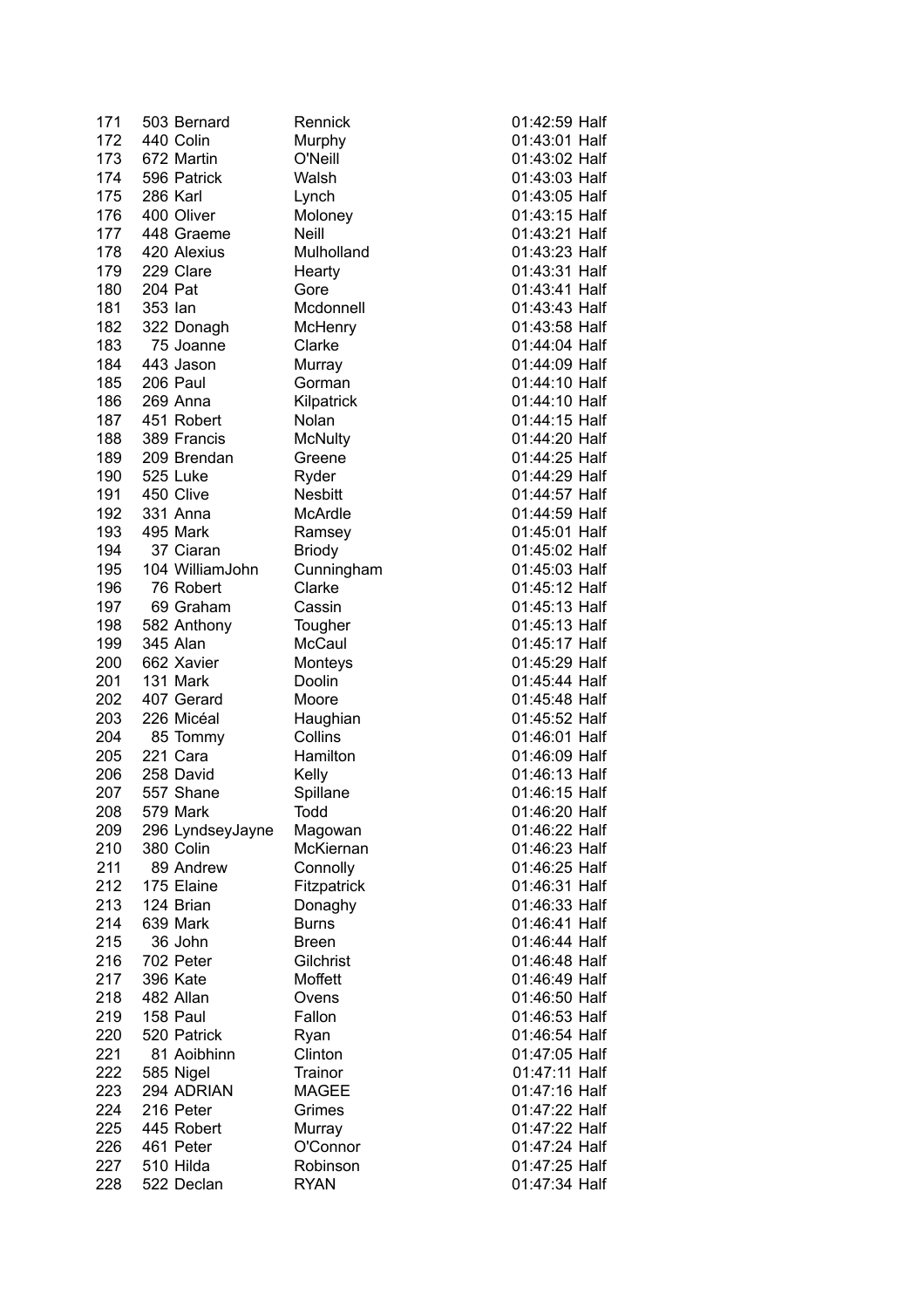| 171 | 503 Bernard          | Rennick             | 01:42:59 Half |
|-----|----------------------|---------------------|---------------|
| 172 | 440 Colin            | Murphy              | 01:43:01 Half |
| 173 | 672 Martin           | O'Neill             | 01:43:02 Half |
| 174 | 596 Patrick          | Walsh               | 01:43:03 Half |
| 175 | 286 Karl             | Lynch               | 01:43:05 Half |
| 176 | 400 Oliver           | Moloney             | 01:43:15 Half |
| 177 | 448 Graeme           | <b>Neill</b>        | 01:43:21 Half |
| 178 | 420 Alexius          | Mulholland          | 01:43:23 Half |
| 179 | 229 Clare            | Hearty              | 01:43:31 Half |
| 180 | 204 Pat              | Gore                | 01:43:41 Half |
| 181 | 353 Ian              | Mcdonnell           | 01:43:43 Half |
| 182 | 322 Donagh           | McHenry             | 01:43:58 Half |
| 183 | 75 Joanne            | Clarke              | 01:44:04 Half |
| 184 | 443 Jason            | Murray              | 01:44:09 Half |
| 185 | 206 Paul             | Gorman              | 01:44:10 Half |
| 186 | 269 Anna             | Kilpatrick          | 01:44:10 Half |
| 187 | 451 Robert           | Nolan               | 01:44:15 Half |
| 188 | 389 Francis          | <b>McNulty</b>      | 01:44:20 Half |
| 189 | 209 Brendan          | Greene              | 01:44:25 Half |
| 190 | 525 Luke             | Ryder               | 01:44:29 Half |
| 191 | 450 Clive            | <b>Nesbitt</b>      | 01:44:57 Half |
| 192 | 331 Anna             | McArdle             | 01:44:59 Half |
| 193 | 495 Mark             | Ramsey              | 01:45:01 Half |
| 194 | 37 Ciaran            | <b>Briody</b>       | 01:45:02 Half |
| 195 | 104 WilliamJohn      | Cunningham          | 01:45:03 Half |
| 196 | 76 Robert            | Clarke              | 01:45:12 Half |
| 197 | 69 Graham            | Cassin              | 01:45:13 Half |
| 198 | 582 Anthony          | Tougher             | 01:45:13 Half |
| 199 | 345 Alan             | McCaul              | 01:45:17 Half |
| 200 | 662 Xavier           |                     | 01:45:29 Half |
| 201 | 131 Mark             | Monteys<br>Doolin   | 01:45:44 Half |
|     | 407 Gerard           |                     |               |
| 202 | 226 Micéal           | Moore               | 01:45:48 Half |
| 203 |                      | Haughian<br>Collins | 01:45:52 Half |
| 204 | 85 Tommy<br>221 Cara |                     | 01:46:01 Half |
| 205 |                      | Hamilton            | 01:46:09 Half |
| 206 | 258 David            | Kelly               | 01:46:13 Half |
| 207 | 557 Shane            | Spillane            | 01:46:15 Half |
| 208 | 579 Mark             | Todd                | 01:46:20 Half |
| 209 | 296 LyndseyJayne     | Magowan             | 01:46:22 Half |
| 210 | 380 Colin            | McKiernan           | 01:46:23 Half |
| 211 | 89 Andrew            | Connolly            | 01:46:25 Half |
| 212 | 175 Elaine           | Fitzpatrick         | 01:46:31 Half |
| 213 | 124 Brian            | Donaghy             | 01:46:33 Half |
| 214 | 639 Mark             | <b>Burns</b>        | 01:46:41 Half |
| 215 | 36 John              | <b>Breen</b>        | 01:46:44 Half |
| 216 | 702 Peter            | Gilchrist           | 01:46:48 Half |
| 217 | 396 Kate             | Moffett             | 01:46:49 Half |
| 218 | 482 Allan            | Ovens               | 01:46:50 Half |
| 219 | 158 Paul             | Fallon              | 01:46:53 Half |
| 220 | 520 Patrick          | Ryan                | 01:46:54 Half |
| 221 | 81 Aoibhinn          | Clinton             | 01:47:05 Half |
| 222 | 585 Nigel            | Trainor             | 01:47:11 Half |
| 223 | 294 ADRIAN           | <b>MAGEE</b>        | 01:47:16 Half |
| 224 | 216 Peter            | Grimes              | 01:47:22 Half |
| 225 | 445 Robert           | Murray              | 01:47:22 Half |
| 226 | 461 Peter            | O'Connor            | 01:47:24 Half |
| 227 | 510 Hilda            | Robinson            | 01:47:25 Half |
| 228 | 522 Declan           | <b>RYAN</b>         | 01:47:34 Half |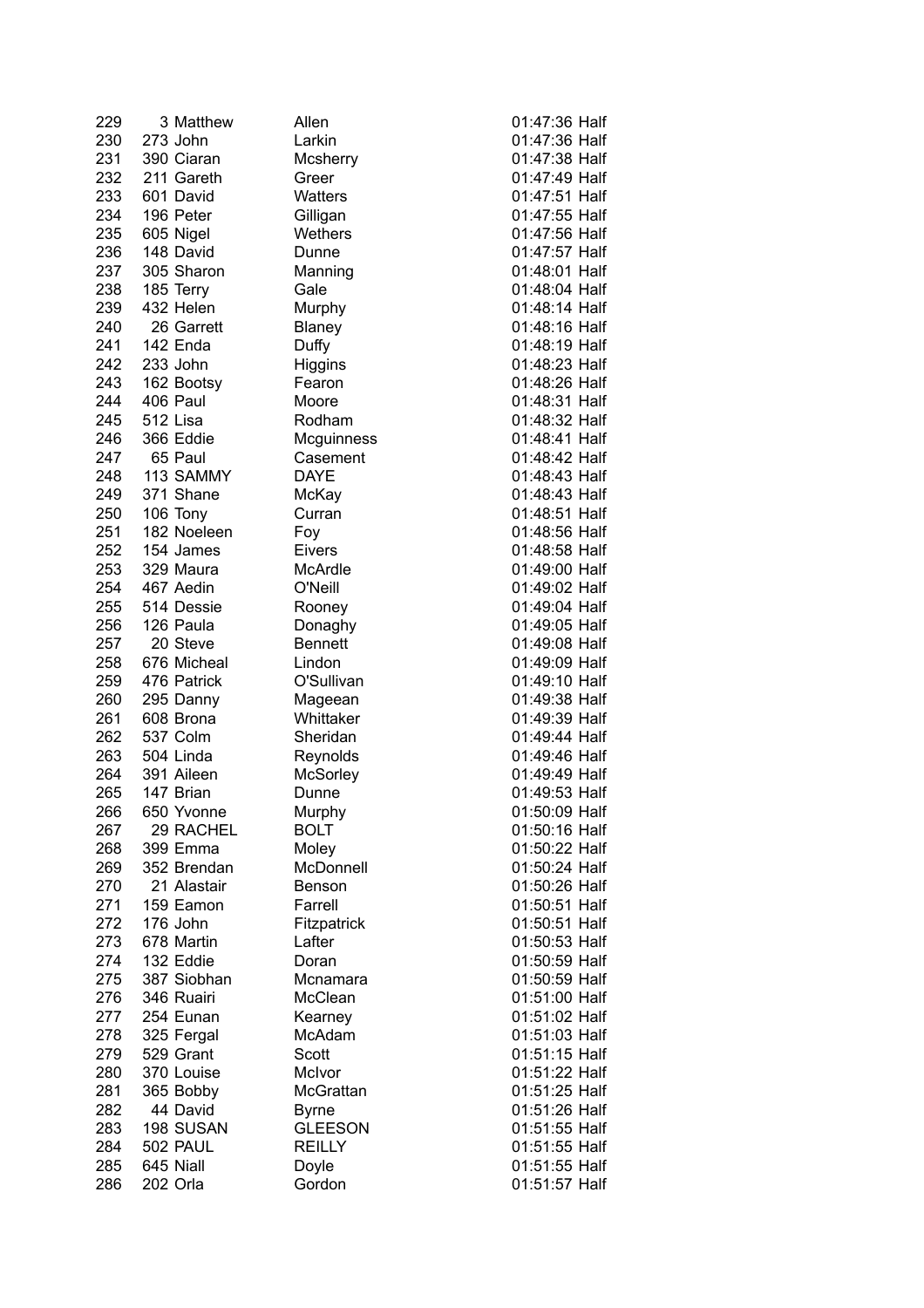| 229 | 3 Matthew   | Allen             | 01:47:36 Half |
|-----|-------------|-------------------|---------------|
| 230 | 273 John    | Larkin            | 01:47:36 Half |
| 231 | 390 Ciaran  | Mcsherry          | 01:47:38 Half |
| 232 | 211 Gareth  | Greer             | 01:47:49 Half |
| 233 | 601 David   | Watters           | 01:47:51 Half |
| 234 | 196 Peter   | Gilligan          | 01:47:55 Half |
|     |             | Wethers           | 01:47:56 Half |
| 235 | 605 Nigel   |                   |               |
| 236 | 148 David   | Dunne             | 01:47:57 Half |
| 237 | 305 Sharon  | Manning           | 01:48:01 Half |
| 238 | 185 Terry   | Gale              | 01:48:04 Half |
| 239 | 432 Helen   | Murphy            | 01:48:14 Half |
| 240 | 26 Garrett  | Blaney            | 01:48:16 Half |
| 241 | 142 Enda    | Duffy             | 01:48:19 Half |
| 242 | 233 John    | Higgins           | 01:48:23 Half |
| 243 | 162 Bootsy  | Fearon            | 01:48:26 Half |
| 244 | 406 Paul    | Moore             | 01:48:31 Half |
| 245 | 512 Lisa    | Rodham            | 01:48:32 Half |
| 246 | 366 Eddie   | <b>Mcguinness</b> | 01:48:41 Half |
| 247 | 65 Paul     | Casement          | 01:48:42 Half |
| 248 | 113 SAMMY   | <b>DAYE</b>       | 01:48:43 Half |
| 249 | 371 Shane   |                   | 01:48:43 Half |
|     |             | McKay             |               |
| 250 | 106 Tony    | Curran            | 01:48:51 Half |
| 251 | 182 Noeleen | Foy               | 01:48:56 Half |
| 252 | 154 James   | <b>Eivers</b>     | 01:48:58 Half |
| 253 | 329 Maura   | McArdle           | 01:49:00 Half |
| 254 | 467 Aedin   | O'Neill           | 01:49:02 Half |
| 255 | 514 Dessie  | Rooney            | 01:49:04 Half |
| 256 | 126 Paula   | Donaghy           | 01:49:05 Half |
| 257 | 20 Steve    | <b>Bennett</b>    | 01:49:08 Half |
| 258 | 676 Micheal | Lindon            | 01:49:09 Half |
| 259 | 476 Patrick | O'Sullivan        | 01:49:10 Half |
| 260 | 295 Danny   | Mageean           | 01:49:38 Half |
| 261 | 608 Brona   | Whittaker         | 01:49:39 Half |
| 262 | 537 Colm    | Sheridan          | 01:49:44 Half |
| 263 | 504 Linda   | Reynolds          | 01:49:46 Half |
|     | 391 Aileen  |                   | 01:49:49 Half |
| 264 |             | McSorley          |               |
| 265 | 147 Brian   | Dunne             | 01:49:53 Half |
| 266 | 650 Yvonne  | Murphy            | 01:50:09 Half |
| 267 | 29 RACHEL   | <b>BOLT</b>       | 01:50:16 Half |
| 268 | 399 Emma    | Moley             | 01:50:22 Half |
| 269 | 352 Brendan | McDonnell         | 01:50:24 Half |
| 270 | 21 Alastair | Benson            | 01:50:26 Half |
| 271 | 159 Eamon   | Farrell           | 01:50:51 Half |
| 272 | 176 John    | Fitzpatrick       | 01:50:51 Half |
| 273 | 678 Martin  | Lafter            | 01:50:53 Half |
| 274 | 132 Eddie   | Doran             | 01:50:59 Half |
| 275 | 387 Siobhan | Mcnamara          | 01:50:59 Half |
| 276 | 346 Ruairi  | McClean           | 01:51:00 Half |
| 277 | 254 Eunan   | Kearney           | 01:51:02 Half |
| 278 | 325 Fergal  | McAdam            | 01:51:03 Half |
|     |             |                   |               |
| 279 | 529 Grant   | Scott             | 01:51:15 Half |
| 280 | 370 Louise  | McIvor            | 01:51:22 Half |
| 281 | 365 Bobby   | McGrattan         | 01:51:25 Half |
| 282 | 44 David    | <b>Byrne</b>      | 01:51:26 Half |
| 283 | 198 SUSAN   | <b>GLEESON</b>    | 01:51:55 Half |
| 284 | 502 PAUL    | <b>REILLY</b>     | 01:51:55 Half |
| 285 | 645 Niall   | Doyle             | 01:51:55 Half |
| 286 | 202 Orla    | Gordon            | 01:51:57 Half |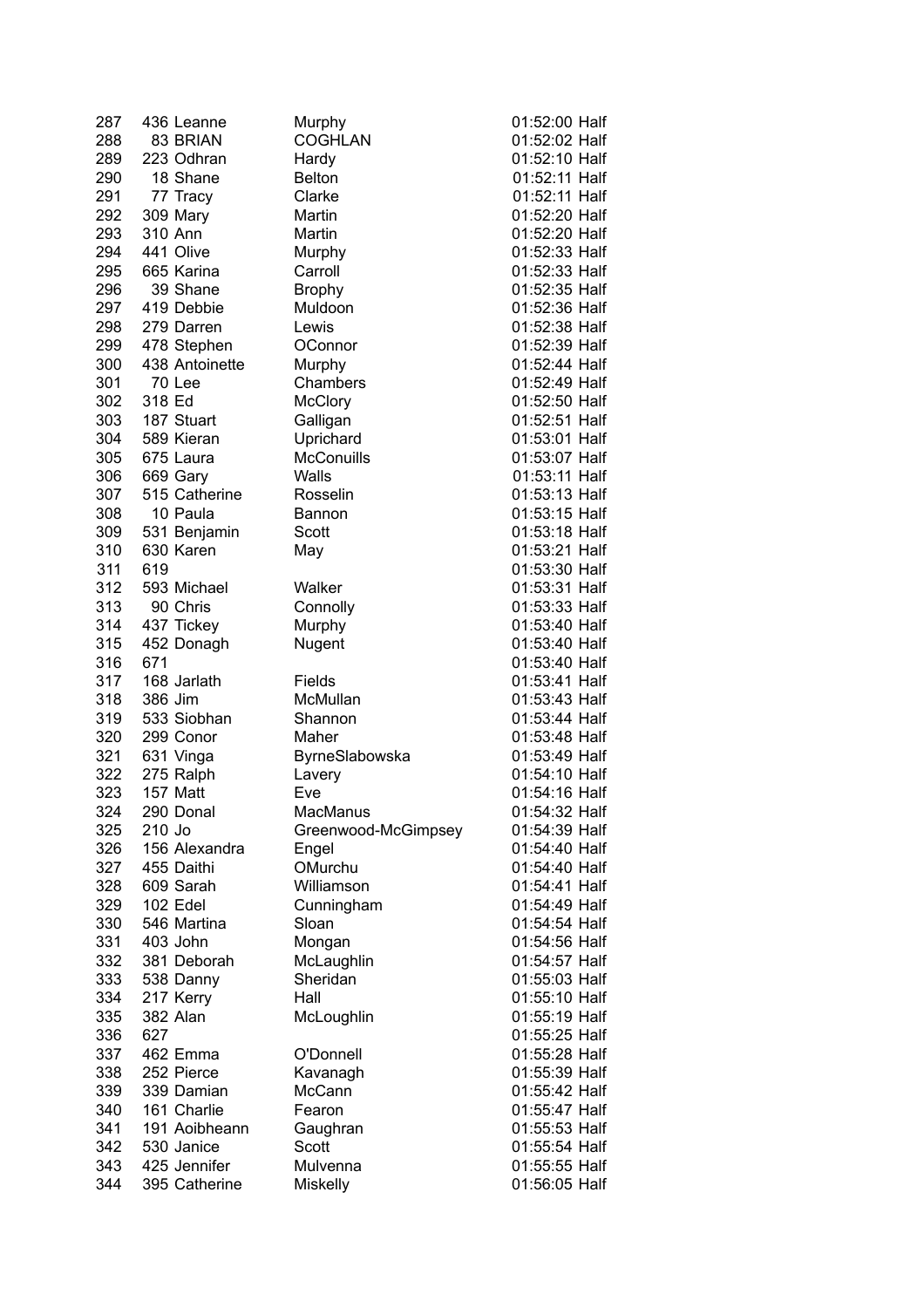| 83 BRIAN<br>223 Odhran | <b>COGHLAN</b>                                                                                                                                                                                                                                                                                                                   |                                                                                                                                                                                                                                |
|------------------------|----------------------------------------------------------------------------------------------------------------------------------------------------------------------------------------------------------------------------------------------------------------------------------------------------------------------------------|--------------------------------------------------------------------------------------------------------------------------------------------------------------------------------------------------------------------------------|
|                        |                                                                                                                                                                                                                                                                                                                                  | 01:52:02 Half                                                                                                                                                                                                                  |
|                        | Hardy                                                                                                                                                                                                                                                                                                                            | 01:52:10 Half                                                                                                                                                                                                                  |
| 18 Shane               | <b>Belton</b>                                                                                                                                                                                                                                                                                                                    | 01:52:11 Half                                                                                                                                                                                                                  |
| 77 Tracy               | Clarke                                                                                                                                                                                                                                                                                                                           | 01:52:11 Half                                                                                                                                                                                                                  |
| 309 Mary               | Martin                                                                                                                                                                                                                                                                                                                           | 01:52:20 Half                                                                                                                                                                                                                  |
|                        |                                                                                                                                                                                                                                                                                                                                  | 01:52:20 Half                                                                                                                                                                                                                  |
|                        |                                                                                                                                                                                                                                                                                                                                  | 01:52:33 Half                                                                                                                                                                                                                  |
|                        |                                                                                                                                                                                                                                                                                                                                  | 01:52:33 Half                                                                                                                                                                                                                  |
|                        |                                                                                                                                                                                                                                                                                                                                  |                                                                                                                                                                                                                                |
|                        |                                                                                                                                                                                                                                                                                                                                  | 01:52:35 Half                                                                                                                                                                                                                  |
|                        |                                                                                                                                                                                                                                                                                                                                  | 01:52:36 Half                                                                                                                                                                                                                  |
|                        |                                                                                                                                                                                                                                                                                                                                  | 01:52:38 Half                                                                                                                                                                                                                  |
|                        |                                                                                                                                                                                                                                                                                                                                  | 01:52:39 Half                                                                                                                                                                                                                  |
|                        |                                                                                                                                                                                                                                                                                                                                  | 01:52:44 Half                                                                                                                                                                                                                  |
|                        |                                                                                                                                                                                                                                                                                                                                  | 01:52:49 Half                                                                                                                                                                                                                  |
|                        | <b>McClory</b>                                                                                                                                                                                                                                                                                                                   | 01:52:50 Half                                                                                                                                                                                                                  |
| 187 Stuart             | Galligan                                                                                                                                                                                                                                                                                                                         | 01:52:51 Half                                                                                                                                                                                                                  |
| 589 Kieran             | Uprichard                                                                                                                                                                                                                                                                                                                        | 01:53:01 Half                                                                                                                                                                                                                  |
|                        |                                                                                                                                                                                                                                                                                                                                  | 01:53:07 Half                                                                                                                                                                                                                  |
|                        |                                                                                                                                                                                                                                                                                                                                  | 01:53:11 Half                                                                                                                                                                                                                  |
|                        |                                                                                                                                                                                                                                                                                                                                  | 01:53:13 Half                                                                                                                                                                                                                  |
|                        |                                                                                                                                                                                                                                                                                                                                  | 01:53:15 Half                                                                                                                                                                                                                  |
|                        |                                                                                                                                                                                                                                                                                                                                  | 01:53:18 Half                                                                                                                                                                                                                  |
|                        |                                                                                                                                                                                                                                                                                                                                  | 01:53:21 Half                                                                                                                                                                                                                  |
|                        |                                                                                                                                                                                                                                                                                                                                  | 01:53:30 Half                                                                                                                                                                                                                  |
|                        |                                                                                                                                                                                                                                                                                                                                  |                                                                                                                                                                                                                                |
|                        |                                                                                                                                                                                                                                                                                                                                  | 01:53:31 Half                                                                                                                                                                                                                  |
|                        |                                                                                                                                                                                                                                                                                                                                  | 01:53:33 Half                                                                                                                                                                                                                  |
|                        |                                                                                                                                                                                                                                                                                                                                  | 01:53:40 Half                                                                                                                                                                                                                  |
|                        |                                                                                                                                                                                                                                                                                                                                  | 01:53:40 Half                                                                                                                                                                                                                  |
|                        |                                                                                                                                                                                                                                                                                                                                  | 01:53:40 Half                                                                                                                                                                                                                  |
|                        |                                                                                                                                                                                                                                                                                                                                  | 01:53:41 Half                                                                                                                                                                                                                  |
|                        |                                                                                                                                                                                                                                                                                                                                  | 01:53:43 Half                                                                                                                                                                                                                  |
|                        | Shannon                                                                                                                                                                                                                                                                                                                          | 01:53:44 Half                                                                                                                                                                                                                  |
| 299 Conor              | Maher                                                                                                                                                                                                                                                                                                                            |                                                                                                                                                                                                                                |
|                        |                                                                                                                                                                                                                                                                                                                                  | 01:53:48 Half                                                                                                                                                                                                                  |
| 631 Vinga              | ByrneSlabowska                                                                                                                                                                                                                                                                                                                   | 01:53:49 Half                                                                                                                                                                                                                  |
|                        | Lavery                                                                                                                                                                                                                                                                                                                           | 01:54:10 Half                                                                                                                                                                                                                  |
| 275 Ralph              |                                                                                                                                                                                                                                                                                                                                  |                                                                                                                                                                                                                                |
| 157 Matt               | Eve                                                                                                                                                                                                                                                                                                                              | 01:54:16 Half                                                                                                                                                                                                                  |
| 290 Donal              | <b>MacManus</b>                                                                                                                                                                                                                                                                                                                  | 01:54:32 Half                                                                                                                                                                                                                  |
| 210 Jo                 | Greenwood-McGimpsey                                                                                                                                                                                                                                                                                                              | 01:54:39 Half                                                                                                                                                                                                                  |
| 156 Alexandra          | Engel                                                                                                                                                                                                                                                                                                                            | 01:54:40 Half                                                                                                                                                                                                                  |
| 455 Daithi             | OMurchu                                                                                                                                                                                                                                                                                                                          | 01:54:40 Half                                                                                                                                                                                                                  |
| 609 Sarah              | Williamson                                                                                                                                                                                                                                                                                                                       | 01:54:41 Half                                                                                                                                                                                                                  |
| 102 Edel               | Cunningham                                                                                                                                                                                                                                                                                                                       | 01:54:49 Half                                                                                                                                                                                                                  |
| 546 Martina            | Sloan                                                                                                                                                                                                                                                                                                                            | 01:54:54 Half                                                                                                                                                                                                                  |
| 403 John               | Mongan                                                                                                                                                                                                                                                                                                                           | 01:54:56 Half                                                                                                                                                                                                                  |
| 381 Deborah            | McLaughlin                                                                                                                                                                                                                                                                                                                       | 01:54:57 Half                                                                                                                                                                                                                  |
| 538 Danny              | Sheridan                                                                                                                                                                                                                                                                                                                         | 01:55:03 Half                                                                                                                                                                                                                  |
| 217 Kerry              | Hall                                                                                                                                                                                                                                                                                                                             | 01:55:10 Half                                                                                                                                                                                                                  |
| 382 Alan               | McLoughlin                                                                                                                                                                                                                                                                                                                       | 01:55:19 Half                                                                                                                                                                                                                  |
| 627                    |                                                                                                                                                                                                                                                                                                                                  | 01:55:25 Half                                                                                                                                                                                                                  |
| 462 Emma               | O'Donnell                                                                                                                                                                                                                                                                                                                        | 01:55:28 Half                                                                                                                                                                                                                  |
| 252 Pierce             | Kavanagh                                                                                                                                                                                                                                                                                                                         | 01:55:39 Half                                                                                                                                                                                                                  |
| 339 Damian             | McCann                                                                                                                                                                                                                                                                                                                           | 01:55:42 Half                                                                                                                                                                                                                  |
| 161 Charlie            | Fearon                                                                                                                                                                                                                                                                                                                           | 01:55:47 Half                                                                                                                                                                                                                  |
| 191 Aoibheann          | Gaughran                                                                                                                                                                                                                                                                                                                         | 01:55:53 Half                                                                                                                                                                                                                  |
| 530 Janice             | Scott                                                                                                                                                                                                                                                                                                                            | 01:55:54 Half                                                                                                                                                                                                                  |
| 425 Jennifer           | Mulvenna                                                                                                                                                                                                                                                                                                                         | 01:55:55 Half                                                                                                                                                                                                                  |
|                        | 310 Ann<br>441 Olive<br>665 Karina<br>39 Shane<br>419 Debbie<br>279 Darren<br>478 Stephen<br>438 Antoinette<br>70 Lee<br>318 Ed<br>675 Laura<br>669 Gary<br>515 Catherine<br>10 Paula<br>531 Benjamin<br>630 Karen<br>619<br>593 Michael<br>90 Chris<br>437 Tickey<br>452 Donagh<br>671<br>168 Jarlath<br>386 Jim<br>533 Siobhan | Martin<br>Murphy<br>Carroll<br><b>Brophy</b><br>Muldoon<br>Lewis<br>OConnor<br>Murphy<br>Chambers<br>McConuills<br>Walls<br>Rosselin<br>Bannon<br>Scott<br>May<br>Walker<br>Connolly<br>Murphy<br>Nugent<br>Fields<br>McMullan |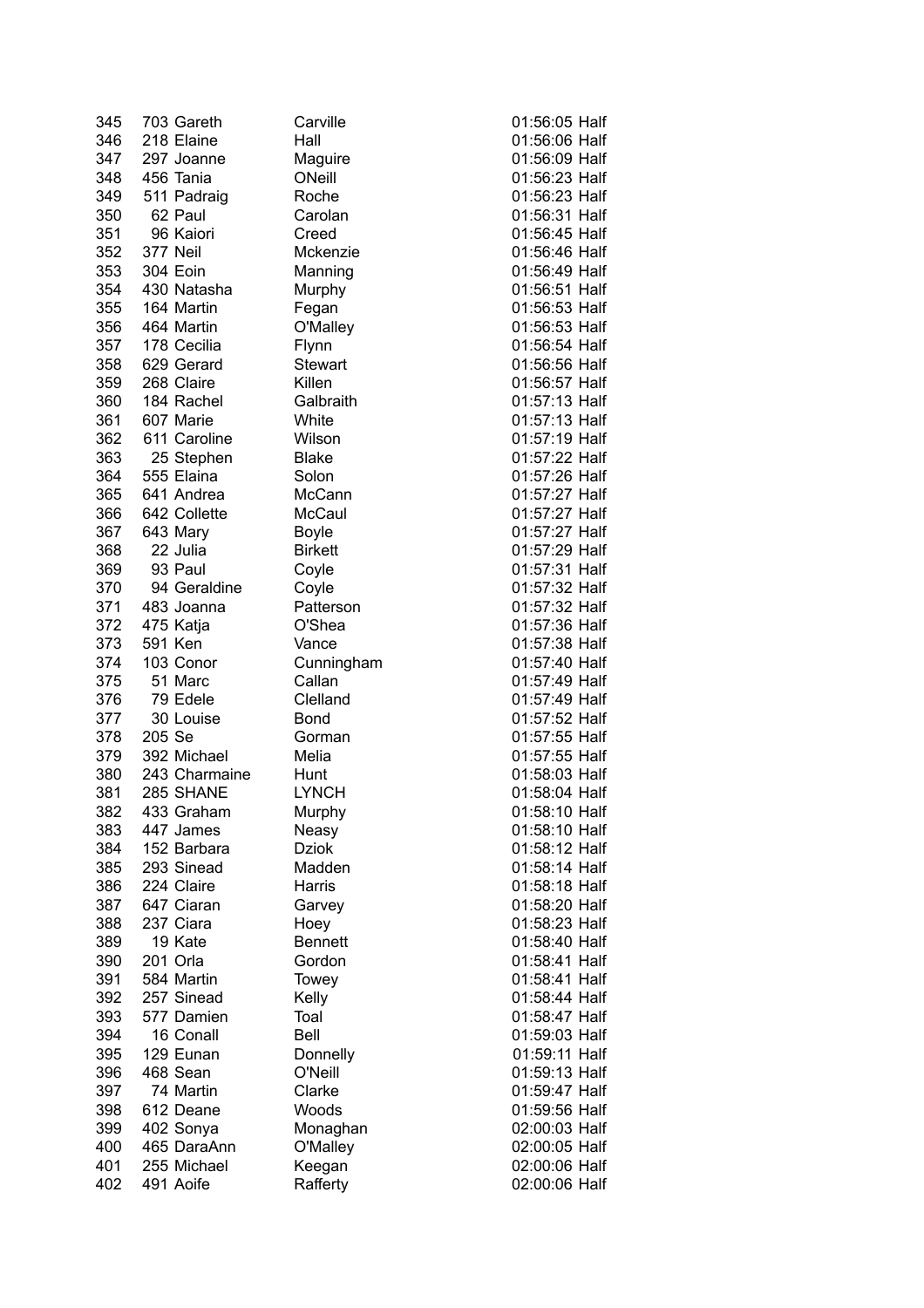| 345 | 703 Gareth    | Carville             | 01:56:05 Half |
|-----|---------------|----------------------|---------------|
| 346 | 218 Elaine    | Hall                 | 01:56:06 Half |
| 347 | 297 Joanne    | Maguire              | 01:56:09 Half |
| 348 | 456 Tania     | ONeill               | 01:56:23 Half |
| 349 | 511 Padraig   | Roche                | 01:56:23 Half |
| 350 | 62 Paul       | Carolan              | 01:56:31 Half |
| 351 | 96 Kaiori     | Creed                | 01:56:45 Half |
| 352 | 377 Neil      | Mckenzie             | 01:56:46 Half |
| 353 | 304 Eoin      | Manning              | 01:56:49 Half |
| 354 | 430 Natasha   | Murphy               | 01:56:51 Half |
| 355 | 164 Martin    | Fegan                | 01:56:53 Half |
| 356 | 464 Martin    | O'Malley             | 01:56:53 Half |
| 357 | 178 Cecilia   | Flynn                | 01:56:54 Half |
| 358 | 629 Gerard    | <b>Stewart</b>       | 01:56:56 Half |
| 359 | 268 Claire    | Killen               | 01:56:57 Half |
| 360 | 184 Rachel    | Galbraith            | 01:57:13 Half |
| 361 | 607 Marie     | White                | 01:57:13 Half |
| 362 | 611 Caroline  | Wilson               | 01:57:19 Half |
| 363 | 25 Stephen    | <b>Blake</b>         | 01:57:22 Half |
| 364 | 555 Elaina    | Solon                | 01:57:26 Half |
| 365 | 641 Andrea    | McCann               | 01:57:27 Half |
| 366 | 642 Collette  | McCaul               | 01:57:27 Half |
| 367 | 643 Mary      | Boyle                | 01:57:27 Half |
| 368 | 22 Julia      | <b>Birkett</b>       | 01:57:29 Half |
| 369 | 93 Paul       | Coyle                | 01:57:31 Half |
| 370 | 94 Geraldine  | Coyle                | 01:57:32 Half |
| 371 | 483 Joanna    | Patterson            | 01:57:32 Half |
| 372 | 475 Katja     | O'Shea               | 01:57:36 Half |
| 373 | 591 Ken       | Vance                | 01:57:38 Half |
|     | 103 Conor     |                      | 01:57:40 Half |
| 374 |               | Cunningham<br>Callan | 01:57:49 Half |
| 375 | 51 Marc       |                      |               |
| 376 | 79 Edele      | Clelland             | 01:57:49 Half |
| 377 | 30 Louise     | Bond                 | 01:57:52 Half |
| 378 | 205 Se        | Gorman               | 01:57:55 Half |
| 379 | 392 Michael   | Melia                | 01:57:55 Half |
| 380 | 243 Charmaine | Hunt                 | 01:58:03 Half |
| 381 | 285 SHANE     | <b>LYNCH</b>         | 01:58:04 Half |
| 382 | 433 Graham    | Murphy               | 01:58:10 Half |
| 383 | 447 James     | Neasy                | 01:58:10 Half |
| 384 | 152 Barbara   | <b>Dziok</b>         | 01:58:12 Half |
| 385 | 293 Sinead    | Madden               | 01:58:14 Half |
| 386 | 224 Claire    | Harris               | 01:58:18 Half |
| 387 | 647 Ciaran    | Garvey               | 01:58:20 Half |
| 388 | 237 Ciara     | Hoey                 | 01:58:23 Half |
| 389 | 19 Kate       | <b>Bennett</b>       | 01:58:40 Half |
| 390 | 201 Orla      | Gordon               | 01:58:41 Half |
| 391 | 584 Martin    | Towey                | 01:58:41 Half |
| 392 | 257 Sinead    | Kelly                | 01:58:44 Half |
| 393 | 577 Damien    | Toal                 | 01:58:47 Half |
| 394 | 16 Conall     | Bell                 | 01:59:03 Half |
| 395 | 129 Eunan     | Donnelly             | 01:59:11 Half |
| 396 | 468 Sean      | O'Neill              | 01:59:13 Half |
| 397 | 74 Martin     | Clarke               | 01:59:47 Half |
| 398 | 612 Deane     | Woods                | 01:59:56 Half |
| 399 | 402 Sonya     | Monaghan             | 02:00:03 Half |
| 400 | 465 DaraAnn   | O'Malley             | 02:00:05 Half |
| 401 | 255 Michael   | Keegan               | 02:00:06 Half |
| 402 | 491 Aoife     | Rafferty             | 02:00:06 Half |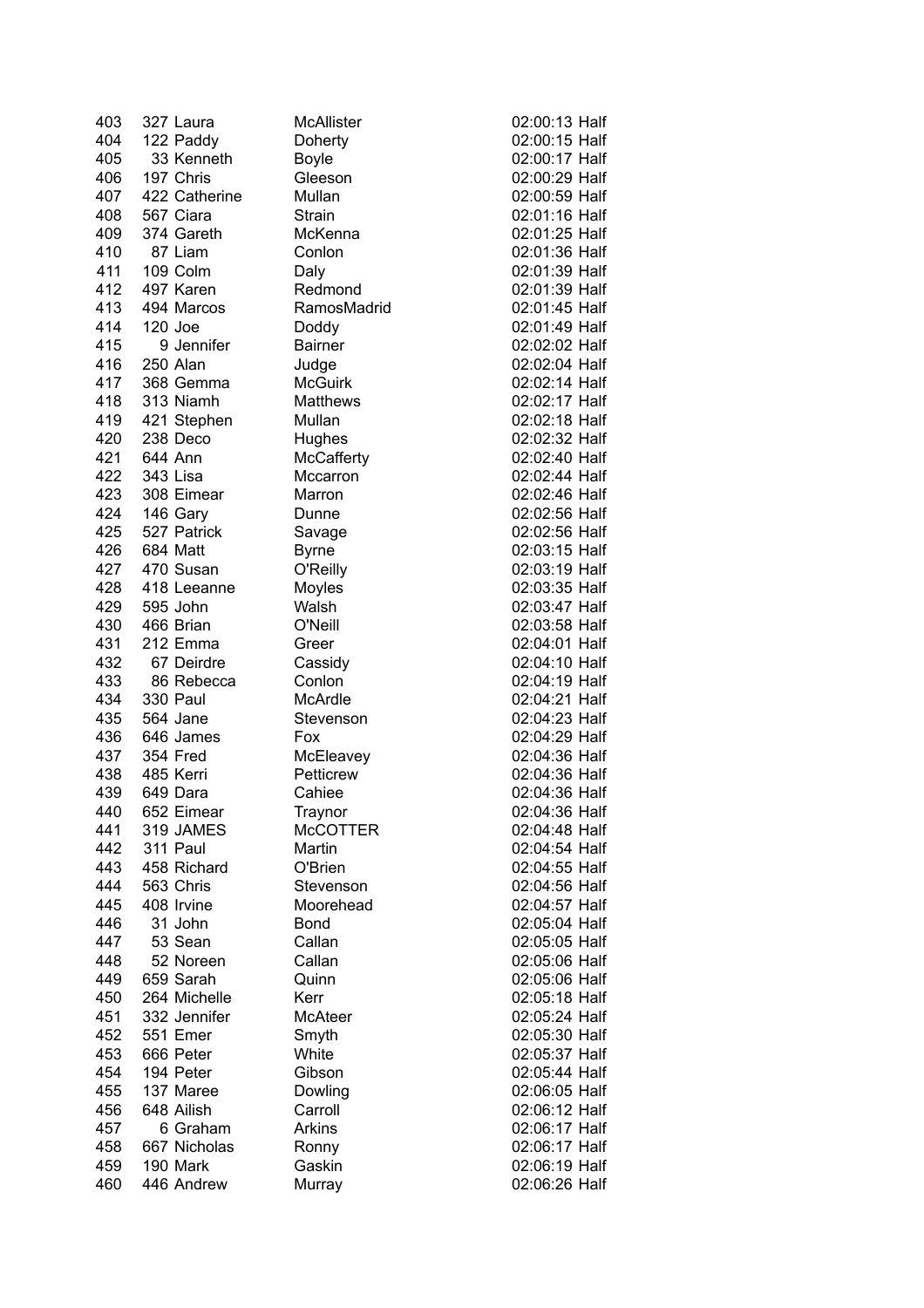| 403 | 327 Laura       | <b>McAllister</b> | 02:00:13 Half |
|-----|-----------------|-------------------|---------------|
| 404 | 122 Paddy       | Doherty           | 02:00:15 Half |
| 405 | 33 Kenneth      | <b>Boyle</b>      | 02:00:17 Half |
| 406 | 197 Chris       | Gleeson           | 02:00:29 Half |
| 407 | 422 Catherine   | Mullan            | 02:00:59 Half |
| 408 | 567 Ciara       | Strain            | 02:01:16 Half |
| 409 | 374 Gareth      | McKenna           | 02:01:25 Half |
| 410 | 87 Liam         | Conlon            | 02:01:36 Half |
| 411 | 109 Colm        | Daly              | 02:01:39 Half |
| 412 | 497 Karen       | Redmond           | 02:01:39 Half |
| 413 | 494 Marcos      | RamosMadrid       | 02:01:45 Half |
| 414 | 120 Joe         | Doddy             | 02:01:49 Half |
| 415 | 9 Jennifer      | <b>Bairner</b>    | 02:02:02 Half |
| 416 | 250 Alan        | Judge             | 02:02:04 Half |
| 417 | 368 Gemma       | <b>McGuirk</b>    | 02:02:14 Half |
| 418 | 313 Niamh       | Matthews          | 02:02:17 Half |
| 419 | 421 Stephen     | Mullan            | 02:02:18 Half |
| 420 | 238 Deco        | Hughes            | 02:02:32 Half |
| 421 | 644 Ann         | <b>McCafferty</b> | 02:02:40 Half |
| 422 | 343 Lisa        | Mccarron          | 02:02:44 Half |
|     |                 |                   | 02:02:46 Half |
| 423 | 308 Eimear      | Marron            | 02:02:56 Half |
| 424 | 146 Gary        | Dunne             |               |
| 425 | 527 Patrick     | Savage            | 02:02:56 Half |
| 426 | 684 Matt        | <b>Byrne</b>      | 02:03:15 Half |
| 427 | 470 Susan       | O'Reilly          | 02:03:19 Half |
| 428 | 418 Leeanne     | Moyles            | 02:03:35 Half |
| 429 | 595 John        | Walsh             | 02:03:47 Half |
| 430 | 466 Brian       | O'Neill           | 02:03:58 Half |
| 431 | 212 Emma        | Greer             | 02:04:01 Half |
| 432 | 67 Deirdre      | Cassidy           | 02:04:10 Half |
| 433 | 86 Rebecca      | Conlon            | 02:04:19 Half |
| 434 | <b>330 Paul</b> | McArdle           | 02:04:21 Half |
| 435 | 564 Jane        | Stevenson         | 02:04:23 Half |
| 436 | 646 James       | Fox               | 02:04:29 Half |
| 437 | 354 Fred        | McEleavey         | 02:04:36 Half |
| 438 | 485 Kerri       | Petticrew         | 02:04:36 Half |
| 439 | 649 Dara        | Cahiee            | 02:04:36 Half |
| 440 | 652 Eimear      | Traynor           | 02:04:36 Half |
| 441 | 319 JAMES       | <b>McCOTTER</b>   | 02:04:48 Half |
| 442 | 311 Paul        | Martin            | 02:04:54 Half |
| 443 | 458 Richard     | O'Brien           | 02:04:55 Half |
| 444 | 563 Chris       | Stevenson         | 02:04:56 Half |
| 445 | 408 Irvine      | Moorehead         | 02:04:57 Half |
| 446 | 31 John         | Bond              | 02:05:04 Half |
| 447 | 53 Sean         | Callan            | 02:05:05 Half |
| 448 | 52 Noreen       | Callan            | 02:05:06 Half |
| 449 | 659 Sarah       | Quinn             | 02:05:06 Half |
| 450 | 264 Michelle    | Kerr              | 02:05:18 Half |
| 451 | 332 Jennifer    | McAteer           | 02:05:24 Half |
| 452 | 551 Emer        | Smyth             | 02:05:30 Half |
| 453 | 666 Peter       | White             | 02:05:37 Half |
| 454 | 194 Peter       | Gibson            | 02:05:44 Half |
| 455 | 137 Maree       |                   | 02:06:05 Half |
|     | 648 Ailish      | Dowling           |               |
| 456 |                 | Carroll           | 02:06:12 Half |
| 457 | 6 Graham        | Arkins            | 02:06:17 Half |
| 458 | 667 Nicholas    | Ronny             | 02:06:17 Half |
| 459 | 190 Mark        | Gaskin            | 02:06:19 Half |
| 460 | 446 Andrew      | Murray            | 02:06:26 Half |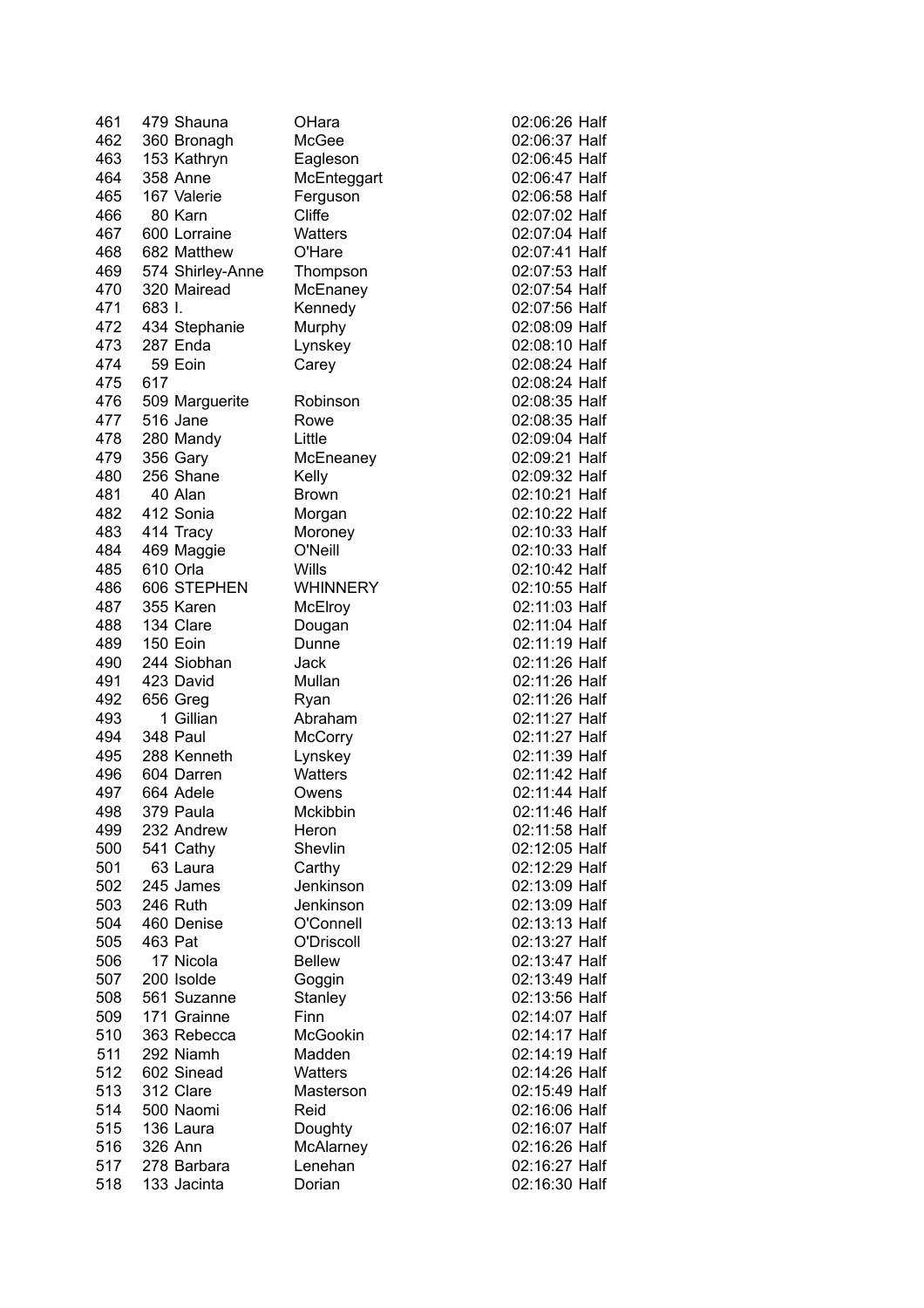| 461 | 479 Shauna       | OHara           | 02:06:26 Half |
|-----|------------------|-----------------|---------------|
| 462 | 360 Bronagh      | McGee           | 02:06:37 Half |
| 463 | 153 Kathryn      | Eagleson        | 02:06:45 Half |
| 464 | 358 Anne         | McEnteggart     | 02:06:47 Half |
| 465 | 167 Valerie      | Ferguson        | 02:06:58 Half |
| 466 | 80 Karn          | Cliffe          | 02:07:02 Half |
| 467 | 600 Lorraine     | <b>Watters</b>  | 02:07:04 Half |
| 468 | 682 Matthew      | O'Hare          | 02:07:41 Half |
| 469 | 574 Shirley-Anne | Thompson        | 02:07:53 Half |
| 470 | 320 Mairead      | McEnaney        | 02:07:54 Half |
| 471 | 683 I.           | Kennedy         | 02:07:56 Half |
| 472 | 434 Stephanie    | Murphy          | 02:08:09 Half |
| 473 | 287 Enda         | Lynskey         | 02:08:10 Half |
| 474 | 59 Eoin          | Carey           | 02:08:24 Half |
| 475 | 617              |                 | 02:08:24 Half |
| 476 | 509 Marguerite   | Robinson        | 02:08:35 Half |
| 477 | 516 Jane         | Rowe            | 02:08:35 Half |
| 478 | 280 Mandy        | Little          | 02:09:04 Half |
| 479 | 356 Gary         | McEneaney       | 02:09:21 Half |
| 480 | 256 Shane        | Kelly           | 02:09:32 Half |
| 481 | 40 Alan          | <b>Brown</b>    | 02:10:21 Half |
| 482 | 412 Sonia        | Morgan          | 02:10:22 Half |
| 483 | 414 Tracy        | Moroney         | 02:10:33 Half |
| 484 | 469 Maggie       | O'Neill         | 02:10:33 Half |
| 485 | 610 Orla         | Wills           | 02:10:42 Half |
| 486 | 606 STEPHEN      | <b>WHINNERY</b> | 02:10:55 Half |
| 487 | 355 Karen        | McElroy         | 02:11:03 Half |
| 488 | 134 Clare        | Dougan          | 02:11:04 Half |
| 489 | 150 Eoin         | Dunne           | 02:11:19 Half |
| 490 | 244 Siobhan      | Jack            | 02:11:26 Half |
| 491 | 423 David        | Mullan          | 02:11:26 Half |
| 492 | 656 Greg         | Ryan            | 02:11:26 Half |
| 493 | 1 Gillian        | Abraham         | 02:11:27 Half |
| 494 | 348 Paul         | <b>McCorry</b>  | 02:11:27 Half |
| 495 | 288 Kenneth      | Lynskey         | 02:11:39 Half |
| 496 | 604 Darren       | Watters         | 02:11:42 Half |
| 497 | 664 Adele        | Owens           | 02:11:44 Half |
| 498 | 379 Paula        | Mckibbin        | 02:11:46 Half |
| 499 | 232 Andrew       | Heron           | 02:11:58 Half |
| 500 | 541 Cathy        | Shevlin         | 02:12:05 Half |
| 501 | 63 Laura         | Carthy          | 02:12:29 Half |
| 502 | 245 James        | Jenkinson       | 02:13:09 Half |
| 503 | 246 Ruth         | Jenkinson       | 02:13:09 Half |
| 504 | 460 Denise       | O'Connell       | 02:13:13 Half |
| 505 | 463 Pat          | O'Driscoll      | 02:13:27 Half |
| 506 | 17 Nicola        | <b>Bellew</b>   | 02:13:47 Half |
| 507 | 200 Isolde       | Goggin          | 02:13:49 Half |
| 508 | 561 Suzanne      | Stanley         | 02:13:56 Half |
| 509 | 171 Grainne      | Finn            | 02:14:07 Half |
| 510 | 363 Rebecca      | McGookin        | 02:14:17 Half |
| 511 | 292 Niamh        | Madden          | 02:14:19 Half |
| 512 | 602 Sinead       | <b>Watters</b>  | 02:14:26 Half |
| 513 | 312 Clare        | Masterson       | 02:15:49 Half |
| 514 | 500 Naomi        | Reid            | 02:16:06 Half |
| 515 | 136 Laura        | Doughty         | 02:16:07 Half |
| 516 | 326 Ann          | McAlarney       | 02:16:26 Half |
| 517 | 278 Barbara      | Lenehan         | 02:16:27 Half |
| 518 | 133 Jacinta      | Dorian          | 02:16:30 Half |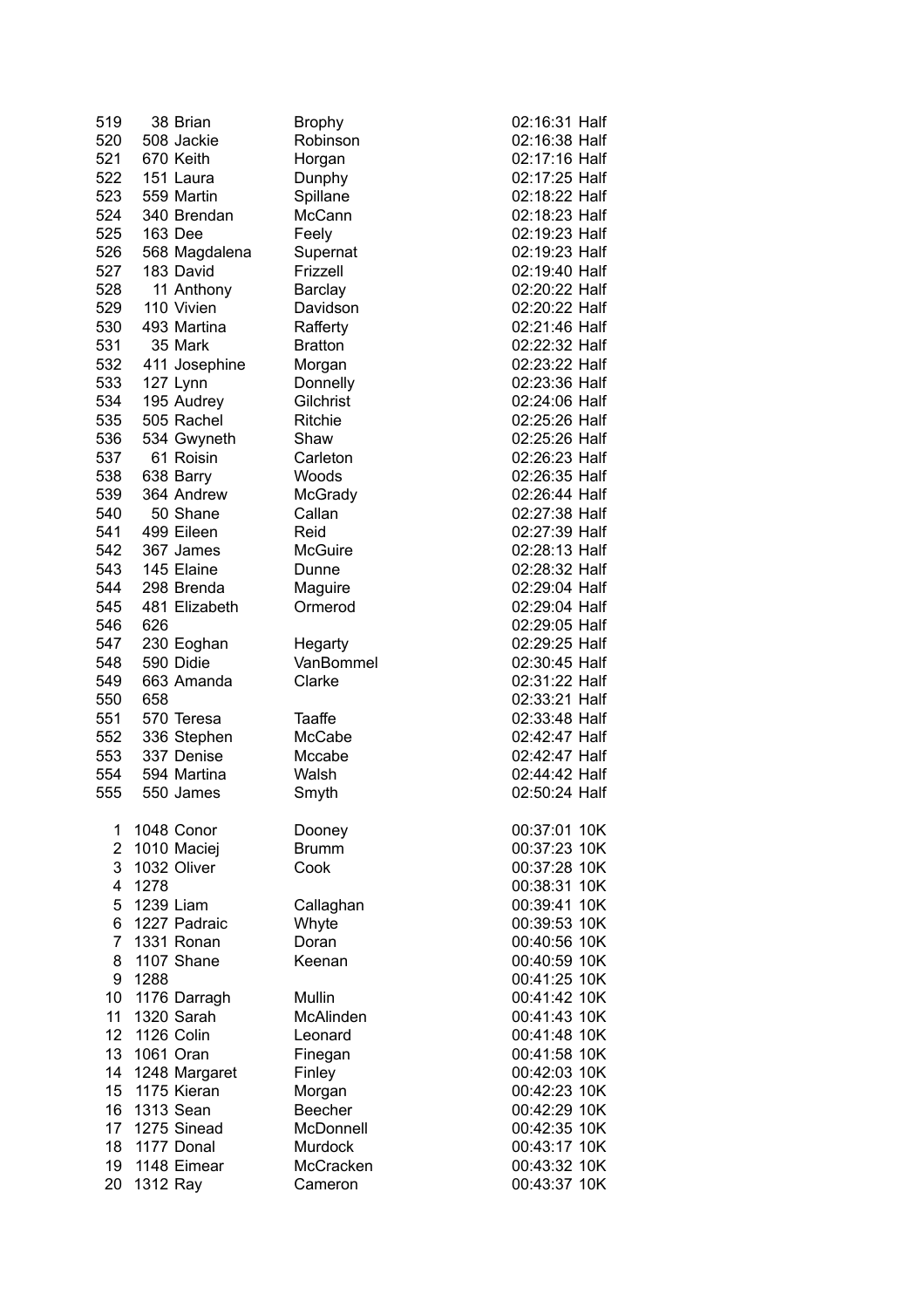| 519             |           | 38 Brian                 | <b>Brophy</b>         | 02:16:31 Half |
|-----------------|-----------|--------------------------|-----------------------|---------------|
| 520             |           | 508 Jackie               | Robinson              | 02:16:38 Half |
| 521             |           | 670 Keith                | Horgan                | 02:17:16 Half |
| 522             |           | 151 Laura                | Dunphy                | 02:17:25 Half |
| 523             |           | 559 Martin               | Spillane              | 02:18:22 Half |
| 524             |           | 340 Brendan              | McCann                | 02:18:23 Half |
| 525             |           | 163 Dee                  | Feely                 | 02:19:23 Half |
| 526             |           | 568 Magdalena            | Supernat              | 02:19:23 Half |
| 527             |           | 183 David                | Frizzell              | 02:19:40 Half |
| 528             |           | 11 Anthony               | Barclay               | 02:20:22 Half |
| 529             |           | 110 Vivien               | Davidson              | 02:20:22 Half |
| 530             |           | 493 Martina              | Rafferty              | 02:21:46 Half |
| 531             |           | 35 Mark                  | <b>Bratton</b>        | 02:22:32 Half |
| 532             |           | 411 Josephine            | Morgan                | 02:23:22 Half |
| 533             |           |                          |                       | 02:23:36 Half |
| 534             |           | 127 Lynn                 | Donnelly<br>Gilchrist | 02:24:06 Half |
| 535             |           | 195 Audrey<br>505 Rachel |                       |               |
|                 |           |                          | <b>Ritchie</b>        | 02:25:26 Half |
| 536             |           | 534 Gwyneth              | Shaw                  | 02:25:26 Half |
| 537             |           | 61 Roisin                | Carleton              | 02:26:23 Half |
| 538             |           | 638 Barry                | Woods                 | 02:26:35 Half |
| 539             |           | 364 Andrew               | McGrady               | 02:26:44 Half |
| 540             |           | 50 Shane                 | Callan                | 02:27:38 Half |
| 541             |           | 499 Eileen               | Reid                  | 02:27:39 Half |
| 542             |           | 367 James                | McGuire               | 02:28:13 Half |
| 543             |           | 145 Elaine               | Dunne                 | 02:28:32 Half |
| 544             |           | 298 Brenda               | Maguire               | 02:29:04 Half |
| 545             |           | 481 Elizabeth            | Ormerod               | 02:29:04 Half |
| 546             | 626       |                          |                       | 02:29:05 Half |
| 547             |           | 230 Eoghan               | Hegarty               | 02:29:25 Half |
| 548             |           | 590 Didie                | VanBommel             | 02:30:45 Half |
| 549             |           | 663 Amanda               | Clarke                | 02:31:22 Half |
| 550             | 658       |                          |                       | 02:33:21 Half |
| 551             |           | 570 Teresa               | Taaffe                | 02:33:48 Half |
| 552             |           | 336 Stephen              | McCabe                | 02:42:47 Half |
| 553             |           | 337 Denise               | Mccabe                | 02:42:47 Half |
| 554             |           | 594 Martina              | Walsh                 | 02:44:42 Half |
| 555             |           | 550 James                | Smyth                 | 02:50:24 Half |
|                 |           |                          |                       |               |
| 1               |           | 1048 Conor               | Dooney                | 00:37:01 10K  |
| $\overline{2}$  |           | 1010 Maciej              | <b>Brumm</b>          | 00:37:23 10K  |
| 3               |           | 1032 Oliver              | Cook                  | 00:37:28 10K  |
| 4               | 1278      |                          |                       | 00:38:31 10K  |
| 5               | 1239 Liam |                          | Callaghan             | 00:39:41 10K  |
| 6               |           | 1227 Padraic             | Whyte                 | 00:39:53 10K  |
| 7               |           | 1331 Ronan               | Doran                 | 00:40:56 10K  |
| 8               |           | 1107 Shane               | Keenan                | 00:40:59 10K  |
| 9               | 1288      |                          |                       | 00:41:25 10K  |
| 10              |           | 1176 Darragh             | Mullin                | 00:41:42 10K  |
| 11              |           | 1320 Sarah               | <b>McAlinden</b>      | 00:41:43 10K  |
| 12 <sup>7</sup> |           | 1126 Colin               | Leonard               | 00:41:48 10K  |
| 13              |           | 1061 Oran                | Finegan               | 00:41:58 10K  |
| 14              |           | 1248 Margaret            | Finley                | 00:42:03 10K  |
| 15              |           | 1175 Kieran              | Morgan                | 00:42:23 10K  |
| 16              |           | 1313 Sean                | <b>Beecher</b>        | 00:42:29 10K  |
| 17              |           | 1275 Sinead              | McDonnell             | 00:42:35 10K  |
| 18              |           | 1177 Donal               | Murdock               | 00:43:17 10K  |
| 19              |           | 1148 Eimear              | McCracken             | 00:43:32 10K  |
| 20              |           |                          | Cameron               | 00:43:37 10K  |
|                 | 1312 Ray  |                          |                       |               |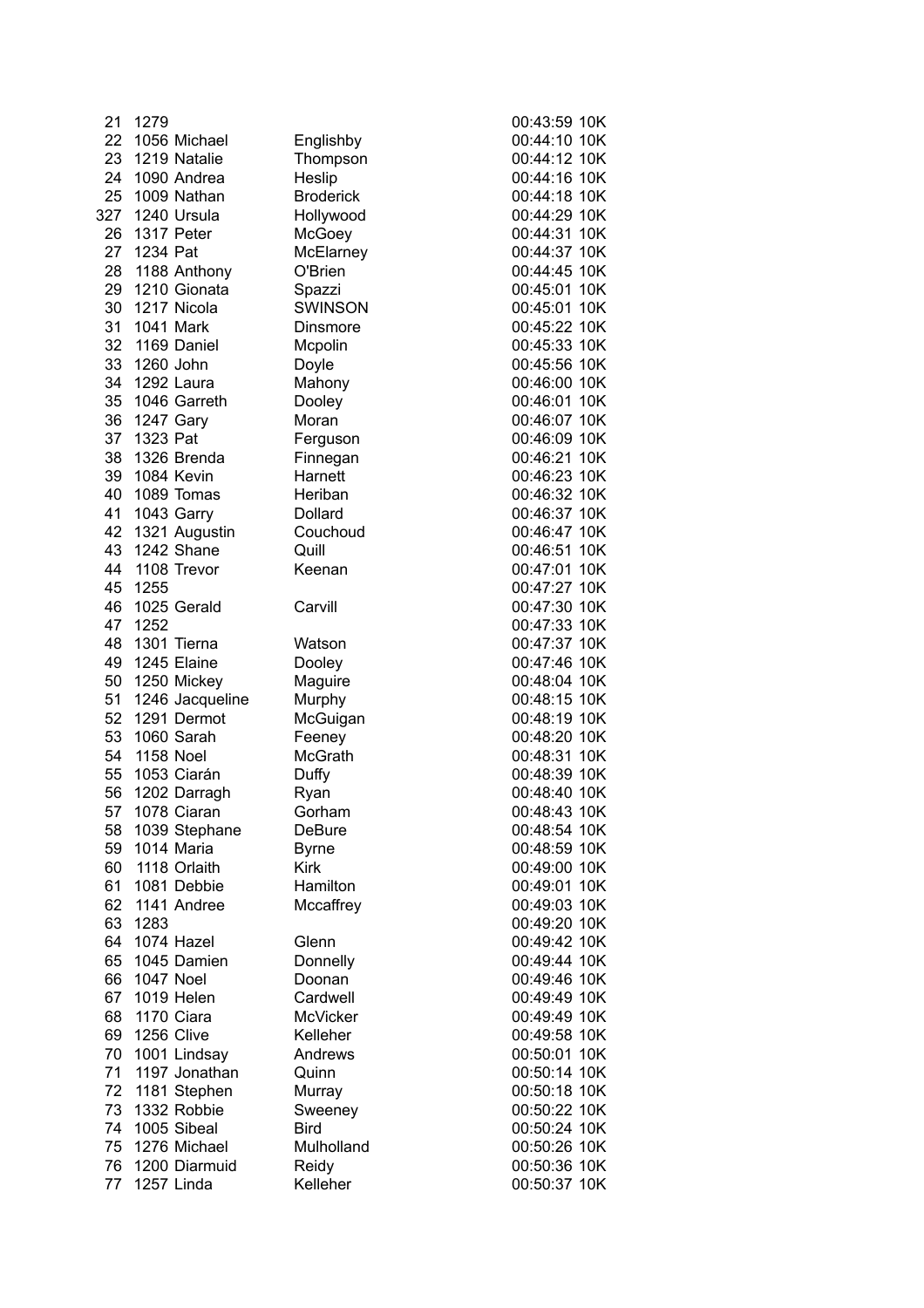| 21       | 1279                       |                             | 00:43:59 10K                 |
|----------|----------------------------|-----------------------------|------------------------------|
|          | 22 1056 Michael            | Englishby                   | 00:44:10 10K                 |
| 23       | 1219 Natalie               | Thompson                    | 00:44:12 10K                 |
| 24       | 1090 Andrea                | Heslip                      | 00:44:16 10K                 |
| 25       | 1009 Nathan                | <b>Broderick</b>            | 00:44:18 10K                 |
|          | 327 1240 Ursula            | Hollywood                   | 00:44:29 10K                 |
| 26       | 1317 Peter                 | McGoey                      | 00:44:31 10K                 |
|          | 27 1234 Pat                | McElarney                   | 00:44:37 10K                 |
| 28       | 1188 Anthony               | O'Brien                     | 00:44:45 10K                 |
| 29       | 1210 Gionata               | Spazzi                      | 00:45:01 10K                 |
| 30       | 1217 Nicola                | <b>SWINSON</b>              | 00:45:01 10K                 |
| 31       | 1041 Mark                  | <b>Dinsmore</b>             | 00:45:22 10K                 |
| 32       | 1169 Daniel                | Mcpolin                     | 00:45:33 10K                 |
| 33       | 1260 John                  | Doyle                       | 00:45:56 10K                 |
| 34       | 1292 Laura                 | Mahony                      | 00:46:00 10K                 |
| 35       | 1046 Garreth               | Dooley                      | 00:46:01 10K                 |
| 36       | 1247 Gary                  | Moran                       | 00:46:07 10K                 |
| 37       | 1323 Pat                   | Ferguson                    | 00:46:09 10K                 |
| 38       | 1326 Brenda                | Finnegan                    | 00:46:21 10K                 |
| 39       | 1084 Kevin                 | Harnett                     | 00:46:23 10K                 |
| 40       | 1089 Tomas                 | Heriban                     | 00:46:32 10K                 |
| 41       | 1043 Garry                 | Dollard                     | 00:46:37 10K                 |
| 42       | 1321 Augustin              | Couchoud                    | 00:46:47 10K                 |
| 43       | 1242 Shane                 | Quill                       | 00:46:51 10K                 |
| 44       | 1108 Trevor                | Keenan                      | 00:47:01 10K                 |
| 45       | 1255                       |                             | 00:47:27 10K                 |
| 46       | 1025 Gerald                | Carvill                     | 00:47:30 10K                 |
| 47       | 1252                       |                             | 00:47:33 10K                 |
| 48       | 1301 Tierna                | Watson                      | 00:47:37 10K                 |
| 49       | 1245 Elaine                | Dooley                      | 00:47:46 10K                 |
| 50       | 1250 Mickey                |                             | 00:48:04 10K                 |
| 51       | 1246 Jacqueline            | Maguire                     | 00:48:15 10K                 |
| 52       | 1291 Dermot                | Murphy<br>McGuigan          | 00:48:19 10K                 |
| 53       | 1060 Sarah                 |                             | 00:48:20 10K                 |
| 54       | 1158 Noel                  | Feeney<br><b>McGrath</b>    | 00:48:31 10K                 |
| 55       | 1053 Ciarán                |                             | 00:48:39 10K                 |
| 56       | 1202 Darragh               | Duffy                       | 00:48:40 10K                 |
|          | 57 1078 Ciaran             | Ryan<br>Gorham              | 00:48:43 10K                 |
|          | 1039 Stephane              | <b>DeBure</b>               | 00:48:54 10K                 |
| 58<br>59 | 1014 Maria                 |                             | 00:48:59 10K                 |
|          | 1118 Orlaith               | <b>Byrne</b><br><b>Kirk</b> | 00:49:00 10K                 |
| 60       |                            |                             |                              |
| 61<br>62 | 1081 Debbie<br>1141 Andree | Hamilton                    | 00:49:01 10K<br>00:49:03 10K |
| 63       | 1283                       | Mccaffrey                   | 00:49:20 10K                 |
|          | 1074 Hazel                 |                             |                              |
| 64       |                            | Glenn                       | 00:49:42 10K                 |
| 65       | 1045 Damien                | Donnelly                    | 00:49:44 10K                 |
| 66       | 1047 Noel                  | Doonan                      | 00:49:46 10K                 |
| 67       | 1019 Helen                 | Cardwell                    | 00:49:49 10K                 |
| 68       | 1170 Ciara                 | McVicker                    | 00:49:49 10K                 |
| 69       | 1256 Clive                 | Kelleher                    | 00:49:58 10K                 |
| 70       | 1001 Lindsay               | Andrews                     | 00:50:01 10K                 |
| 71       | 1197 Jonathan              | Quinn                       | 00:50:14 10K                 |
| 72       | 1181 Stephen               | Murray                      | 00:50:18 10K                 |
| 73       | 1332 Robbie                | Sweeney                     | 00:50:22 10K                 |
| 74       | 1005 Sibeal                | <b>Bird</b>                 | 00:50:24 10K                 |
| 75       | 1276 Michael               | Mulholland                  | 00:50:26 10K                 |
| 76       | 1200 Diarmuid              | Reidy                       | 00:50:36 10K                 |
| 77       | 1257 Linda                 | Kelleher                    | 00:50:37 10K                 |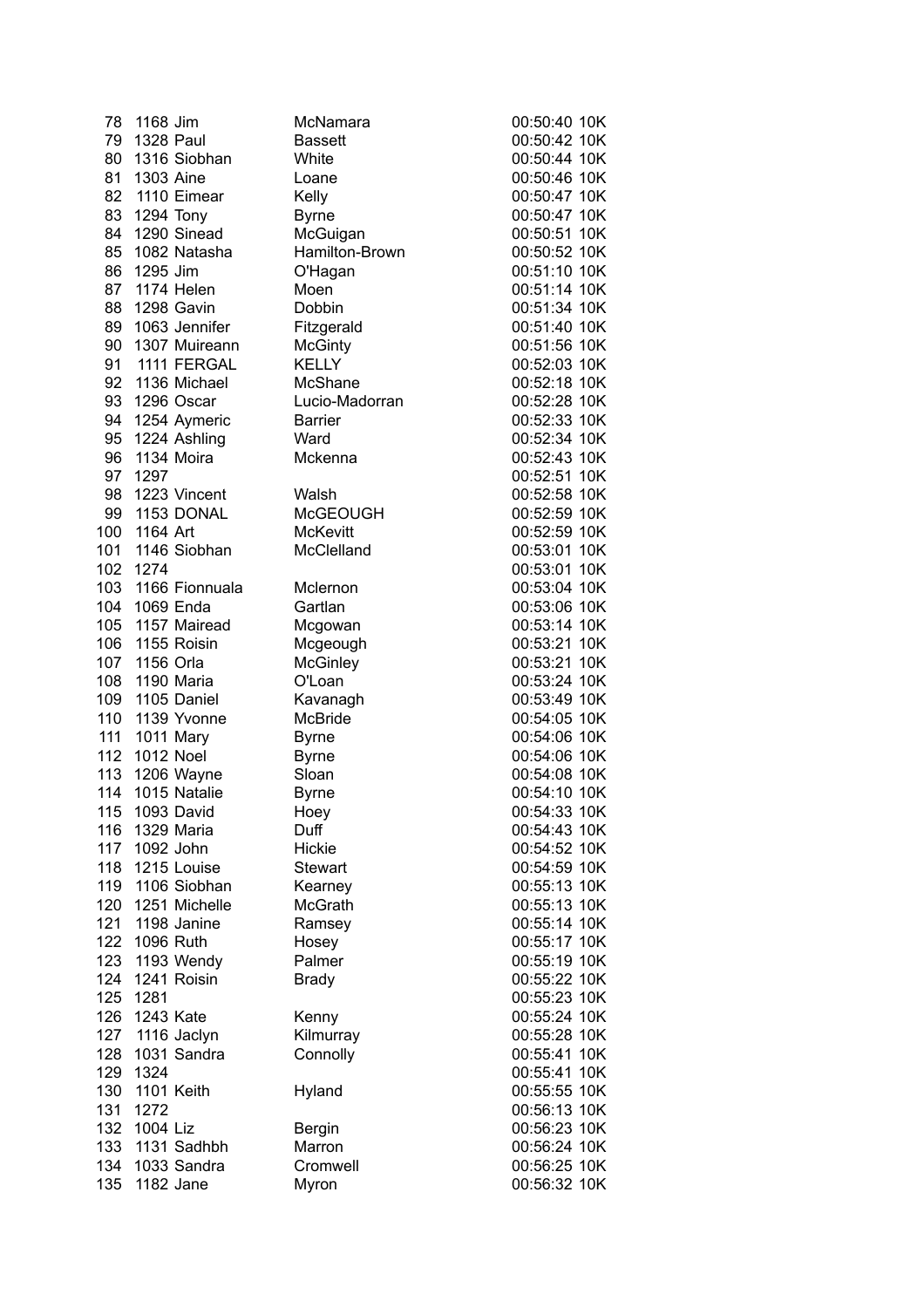| 78  | 1168 Jim           | McNamara        | 00:50:40 10K |
|-----|--------------------|-----------------|--------------|
| 79  | <b>1328 Paul</b>   | <b>Bassett</b>  | 00:50:42 10K |
| 80  | 1316 Siobhan       | White           | 00:50:44 10K |
| 81  | 1303 Aine          | Loane           | 00:50:46 10K |
|     | 82 1110 Eimear     | Kelly           | 00:50:47 10K |
| 83  | 1294 Tony          | <b>Byrne</b>    | 00:50:47 10K |
| 84  | 1290 Sinead        | McGuigan        | 00:50:51 10K |
| 85  | 1082 Natasha       | Hamilton-Brown  | 00:50:52 10K |
| 86  | 1295 Jim           | O'Hagan         | 00:51:10 10K |
| 87  | 1174 Helen         | Moen            | 00:51:14 10K |
| 88  | 1298 Gavin         | <b>Dobbin</b>   | 00:51:34 10K |
| 89  | 1063 Jennifer      | Fitzgerald      | 00:51:40 10K |
| 90  | 1307 Muireann      | <b>McGinty</b>  | 00:51:56 10K |
| 91  | 1111 FERGAL        | <b>KELLY</b>    | 00:52:03 10K |
|     |                    |                 |              |
| 92  | 1136 Michael       | McShane         | 00:52:18 10K |
| 93  | 1296 Oscar         | Lucio-Madorran  | 00:52:28 10K |
| 94  | 1254 Aymeric       | <b>Barrier</b>  | 00:52:33 10K |
| 95  | 1224 Ashling       | Ward            | 00:52:34 10K |
| 96  | 1134 Moira         | Mckenna         | 00:52:43 10K |
| 97  | 1297               |                 | 00:52:51 10K |
| 98  | 1223 Vincent       | Walsh           | 00:52:58 10K |
| 99  | 1153 DONAL         | <b>McGEOUGH</b> | 00:52:59 10K |
| 100 | 1164 Art           | <b>McKevitt</b> | 00:52:59 10K |
| 101 | 1146 Siobhan       | McClelland      | 00:53:01 10K |
| 102 | 1274               |                 | 00:53:01 10K |
|     | 103 1166 Fionnuala | Mclernon        | 00:53:04 10K |
| 104 | 1069 Enda          | Gartlan         | 00:53:06 10K |
| 105 | 1157 Mairead       | Mcgowan         | 00:53:14 10K |
| 106 | 1155 Roisin        | Mcgeough        | 00:53:21 10K |
| 107 | 1156 Orla          | <b>McGinley</b> | 00:53:21 10K |
| 108 | 1190 Maria         | O'Loan          | 00:53:24 10K |
| 109 | 1105 Daniel        | Kavanagh        | 00:53:49 10K |
| 110 | 1139 Yvonne        | <b>McBride</b>  | 00:54:05 10K |
| 111 | 1011 Mary          | <b>Byrne</b>    | 00:54:06 10K |
| 112 | <b>1012 Noel</b>   | <b>Byrne</b>    | 00:54:06 10K |
| 113 | 1206 Wayne         | Sloan           | 00:54:08 10K |
| 114 | 1015 Natalie       | <b>Byrne</b>    | 00:54:10 10K |
|     | 115 1093 David     | Hoey            | 00:54:33 10K |
| 116 | 1329 Maria         | Duff            | 00:54:43 10K |
| 117 | 1092 John          | Hickie          | 00:54:52 10K |
| 118 | 1215 Louise        | <b>Stewart</b>  | 00:54:59 10K |
| 119 | 1106 Siobhan       | Kearney         | 00:55:13 10K |
| 120 | 1251 Michelle      | McGrath         | 00:55:13 10K |
| 121 | 1198 Janine        | Ramsey          | 00:55:14 10K |
| 122 | 1096 Ruth          | Hosey           | 00:55:17 10K |
| 123 | 1193 Wendy         | Palmer          | 00:55:19 10K |
| 124 | 1241 Roisin        | <b>Brady</b>    | 00:55:22 10K |
| 125 | 1281               |                 | 00:55:23 10K |
| 126 | 1243 Kate          | Kenny           | 00:55:24 10K |
| 127 | 1116 Jaclyn        | Kilmurray       | 00:55:28 10K |
| 128 | 1031 Sandra        | Connolly        | 00:55:41 10K |
| 129 | 1324               |                 | 00:55:41 10K |
| 130 | 1101 Keith         | Hyland          | 00:55:55 10K |
| 131 | 1272               |                 | 00:56:13 10K |
| 132 | 1004 Liz           | Bergin          | 00:56:23 10K |
| 133 | 1131 Sadhbh        | Marron          | 00:56:24 10K |
| 134 | 1033 Sandra        | Cromwell        | 00:56:25 10K |
| 135 | 1182 Jane          | Myron           | 00:56:32 10K |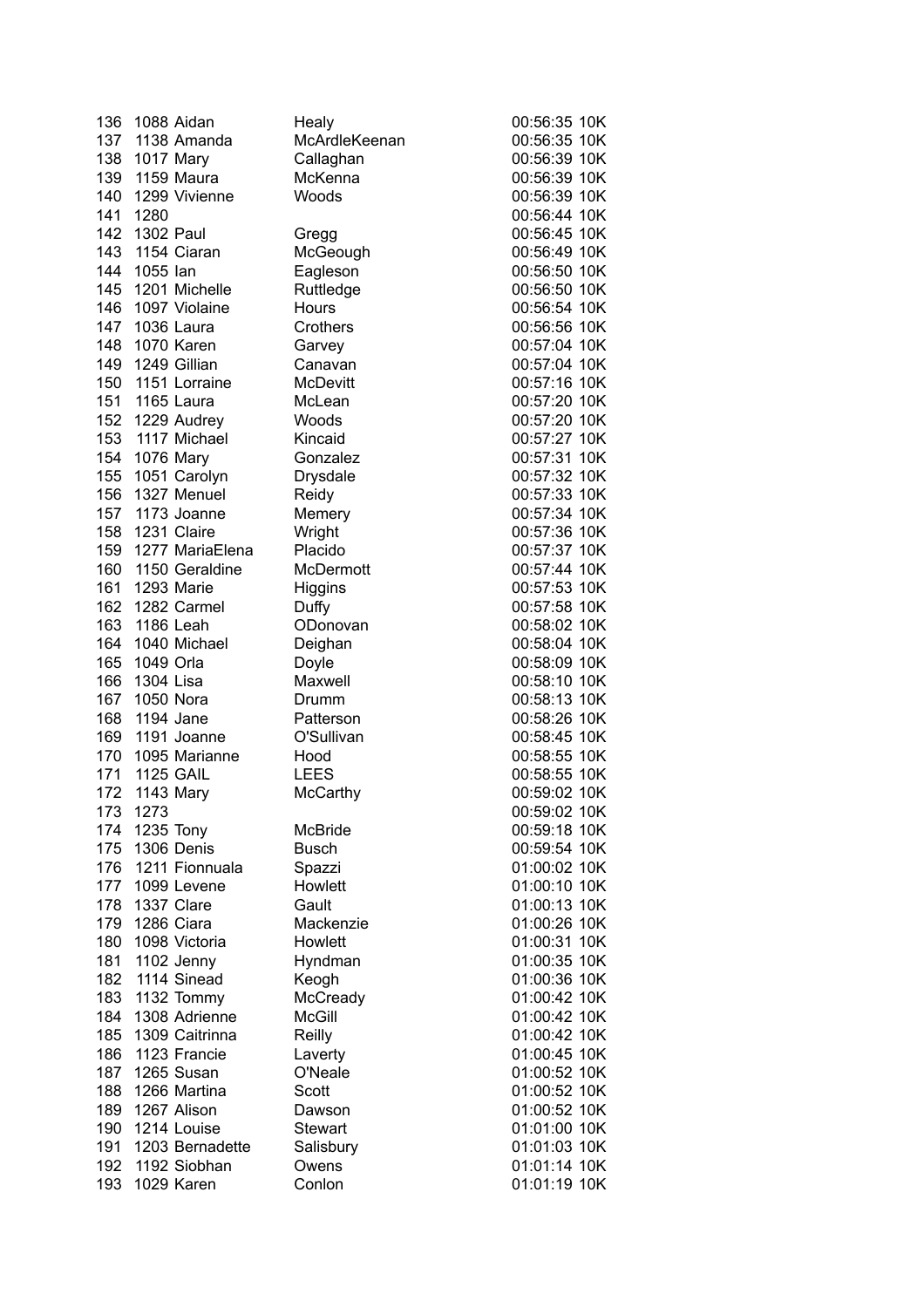| 136 | 1088 Aidan       | Healy           | 00:56:35 10K |
|-----|------------------|-----------------|--------------|
|     | 137 1138 Amanda  | McArdleKeenan   | 00:56:35 10K |
| 138 | 1017 Mary        | Callaghan       | 00:56:39 10K |
| 139 | 1159 Maura       | McKenna         | 00:56:39 10K |
| 140 | 1299 Vivienne    | Woods           | 00:56:39 10K |
| 141 | 1280             |                 | 00:56:44 10K |
|     | 142 1302 Paul    | Gregg           | 00:56:45 10K |
| 143 | 1154 Ciaran      | McGeough        | 00:56:49 10K |
| 144 | 1055 lan         | Eagleson        | 00:56:50 10K |
| 145 | 1201 Michelle    | Ruttledge       | 00:56:50 10K |
| 146 | 1097 Violaine    | Hours           | 00:56:54 10K |
| 147 | 1036 Laura       | Crothers        | 00:56:56 10K |
| 148 | 1070 Karen       | Garvey          | 00:57:04 10K |
| 149 | 1249 Gillian     | Canavan         | 00:57:04 10K |
| 150 | 1151 Lorraine    | <b>McDevitt</b> | 00:57:16 10K |
| 151 | 1165 Laura       | McLean          | 00:57:20 10K |
|     | 152 1229 Audrey  | Woods           | 00:57:20 10K |
|     | 153 1117 Michael | Kincaid         | 00:57:27 10K |
|     | 154 1076 Mary    | Gonzalez        | 00:57:31 10K |
| 155 | 1051 Carolyn     | Drysdale        | 00:57:32 10K |
| 156 | 1327 Menuel      | Reidy           | 00:57:33 10K |
| 157 | 1173 Joanne      | Memery          | 00:57:34 10K |
| 158 | 1231 Claire      | Wright          | 00:57:36 10K |
| 159 | 1277 MariaElena  | Placido         | 00:57:37 10K |
| 160 | 1150 Geraldine   | McDermott       | 00:57:44 10K |
| 161 | 1293 Marie       | Higgins         | 00:57:53 10K |
| 162 | 1282 Carmel      | Duffy           | 00:57:58 10K |
| 163 | 1186 Leah        | ODonovan        | 00:58:02 10K |
| 164 | 1040 Michael     | Deighan         | 00:58:04 10K |
| 165 | 1049 Orla        | Doyle           | 00:58:09 10K |
| 166 | 1304 Lisa        | Maxwell         | 00:58:10 10K |
| 167 | 1050 Nora        | Drumm           | 00:58:13 10K |
| 168 | 1194 Jane        | Patterson       | 00:58:26 10K |
| 169 | 1191 Joanne      | O'Sullivan      | 00:58:45 10K |
| 170 | 1095 Marianne    | Hood            | 00:58:55 10K |
| 171 | <b>1125 GAIL</b> | <b>LEES</b>     | 00:58:55 10K |
| 172 | 1143 Mary        | <b>McCarthy</b> | 00:59:02 10K |
|     | 173 1273         |                 | 00:59:02 10K |
| 174 | 1235 Tony        | McBride         | 00:59:18 10K |
| 175 | 1306 Denis       | <b>Busch</b>    | 00:59:54 10K |
| 176 | 1211 Fionnuala   | Spazzi          | 01:00:02 10K |
| 177 | 1099 Levene      | Howlett         | 01:00:10 10K |
| 178 | 1337 Clare       | Gault           | 01:00:13 10K |
| 179 | 1286 Ciara       | Mackenzie       | 01:00:26 10K |
| 180 | 1098 Victoria    | Howlett         | 01:00:31 10K |
| 181 | 1102 Jenny       | Hyndman         | 01:00:35 10K |
| 182 | 1114 Sinead      | Keogh           | 01:00:36 10K |
| 183 | 1132 Tommy       | McCready        | 01:00:42 10K |
| 184 | 1308 Adrienne    | McGill          | 01:00:42 10K |
| 185 | 1309 Caitrinna   | Reilly          | 01:00:42 10K |
| 186 |                  |                 |              |
|     | 1123 Francie     | Laverty         | 01:00:45 10K |
| 187 | 1265 Susan       | O'Neale         | 01:00:52 10K |
| 188 | 1266 Martina     | Scott           | 01:00:52 10K |
| 189 | 1267 Alison      | Dawson          | 01:00:52 10K |
| 190 | 1214 Louise      | <b>Stewart</b>  | 01:01:00 10K |
| 191 | 1203 Bernadette  | Salisbury       | 01:01:03 10K |
| 192 | 1192 Siobhan     | Owens           | 01:01:14 10K |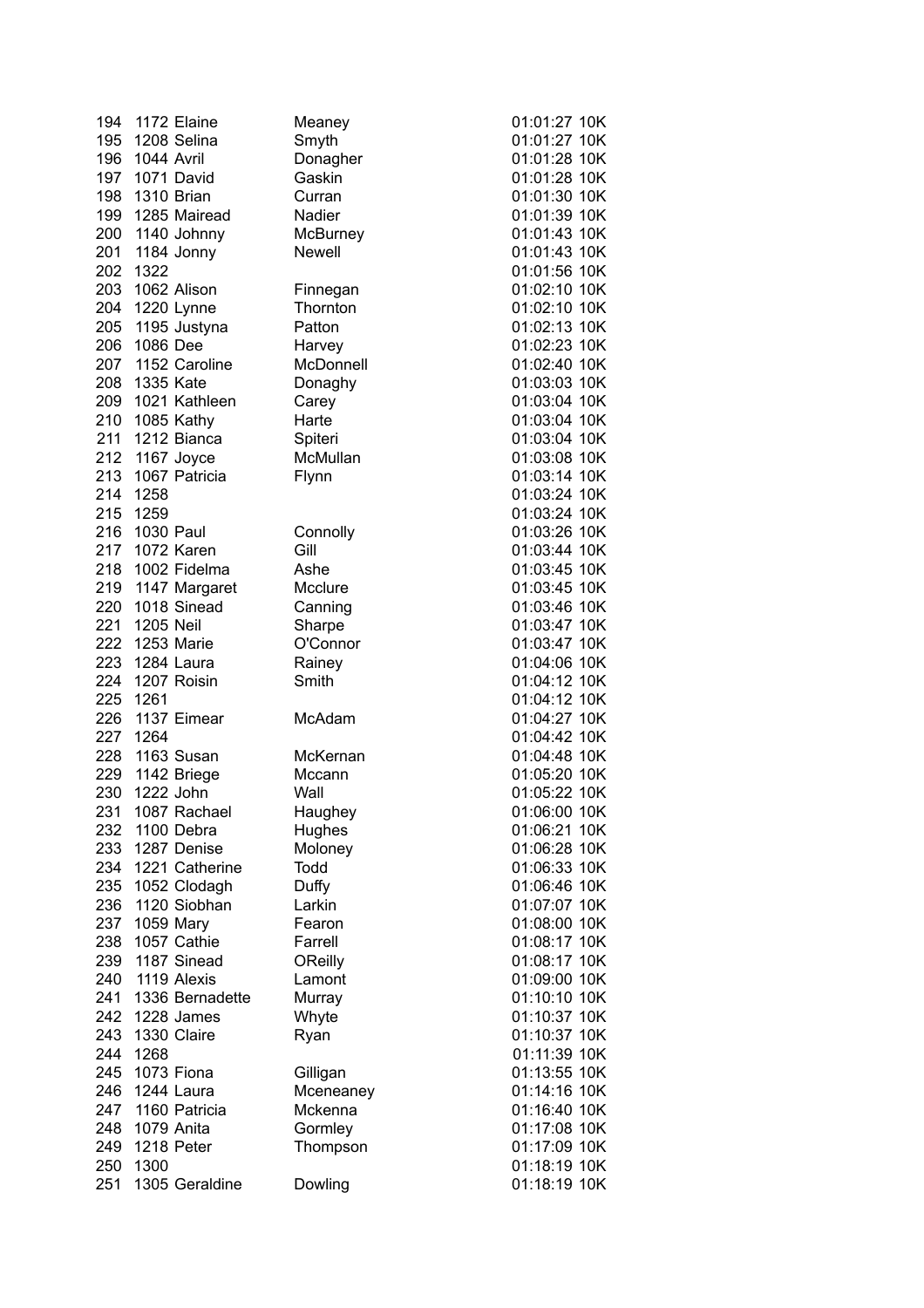| 194 | 1172 Elaine      | Meaney    | 01:01:27 10K |
|-----|------------------|-----------|--------------|
| 195 | 1208 Selina      | Smyth     | 01:01:27 10K |
| 196 | 1044 Avril       | Donagher  | 01:01:28 10K |
| 197 | 1071 David       | Gaskin    | 01:01:28 10K |
| 198 | 1310 Brian       | Curran    | 01:01:30 10K |
| 199 | 1285 Mairead     | Nadier    | 01:01:39 10K |
| 200 | 1140 Johnny      | McBurney  | 01:01:43 10K |
| 201 | 1184 Jonny       | Newell    | 01:01:43 10K |
| 202 | 1322             |           | 01:01:56 10K |
| 203 | 1062 Alison      | Finnegan  | 01:02:10 10K |
| 204 | 1220 Lynne       | Thornton  | 01:02:10 10K |
| 205 | 1195 Justyna     | Patton    | 01:02:13 10K |
| 206 | 1086 Dee         | Harvey    | 01:02:23 10K |
| 207 | 1152 Caroline    | McDonnell | 01:02:40 10K |
| 208 | 1335 Kate        | Donaghy   | 01:03:03 10K |
| 209 | 1021 Kathleen    | Carey     | 01:03:04 10K |
| 210 | 1085 Kathy       | Harte     | 01:03:04 10K |
| 211 | 1212 Bianca      | Spiteri   | 01:03:04 10K |
| 212 | 1167 Joyce       | McMullan  | 01:03:08 10K |
| 213 | 1067 Patricia    | Flynn     | 01:03:14 10K |
| 214 | 1258             |           | 01:03:24 10K |
| 215 | 1259             |           | 01:03:24 10K |
| 216 | 1030 Paul        | Connolly  | 01:03:26 10K |
| 217 | 1072 Karen       | Gill      | 01:03:44 10K |
| 218 | 1002 Fidelma     | Ashe      | 01:03:45 10K |
| 219 | 1147 Margaret    | Mcclure   | 01:03:45 10K |
| 220 | 1018 Sinead      | Canning   | 01:03:46 10K |
| 221 | 1205 Neil        | Sharpe    | 01:03:47 10K |
| 222 | 1253 Marie       | O'Connor  | 01:03:47 10K |
| 223 | 1284 Laura       | Rainey    | 01:04:06 10K |
| 224 | 1207 Roisin      | Smith     | 01:04:12 10K |
| 225 | 1261             |           | 01:04:12 10K |
| 226 | 1137 Eimear      | McAdam    | 01:04:27 10K |
| 227 | 1264             |           | 01:04:42 10K |
| 228 | 1163 Susan       | McKernan  | 01:04:48 10K |
|     | 229 1142 Briege  | Mccann    | 01:05:20 10K |
| 230 | 1222 John        | Wall      | 01:05:22 10K |
|     | 231 1087 Rachael | Haughey   | 01:06:00 10K |
| 232 | 1100 Debra       | Hughes    | 01:06:21 10K |
| 233 | 1287 Denise      | Moloney   | 01:06:28 10K |
| 234 | 1221 Catherine   | Todd      | 01:06:33 10K |
| 235 | 1052 Clodagh     | Duffy     | 01:06:46 10K |
| 236 | 1120 Siobhan     | Larkin    | 01:07:07 10K |
| 237 | 1059 Mary        | Fearon    | 01:08:00 10K |
| 238 | 1057 Cathie      | Farrell   | 01:08:17 10K |
| 239 | 1187 Sinead      | OReilly   | 01:08:17 10K |
| 240 | 1119 Alexis      | Lamont    | 01:09:00 10K |
| 241 | 1336 Bernadette  | Murray    | 01:10:10 10K |
| 242 | 1228 James       | Whyte     | 01:10:37 10K |
| 243 | 1330 Claire      | Ryan      | 01:10:37 10K |
| 244 | 1268             |           | 01:11:39 10K |
| 245 | 1073 Fiona       | Gilligan  | 01:13:55 10K |
| 246 | 1244 Laura       | Mceneaney | 01:14:16 10K |
| 247 | 1160 Patricia    | Mckenna   | 01:16:40 10K |
| 248 | 1079 Anita       | Gormley   | 01:17:08 10K |
| 249 | 1218 Peter       | Thompson  | 01:17:09 10K |
| 250 | 1300             |           | 01:18:19 10K |
| 251 | 1305 Geraldine   | Dowling   | 01:18:19 10K |
|     |                  |           |              |